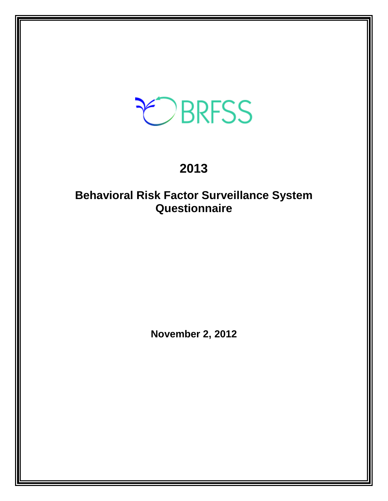# EBRFSS

# **2013**

## **Behavioral Risk Factor Surveillance System Questionnaire**

**November 2, 2012**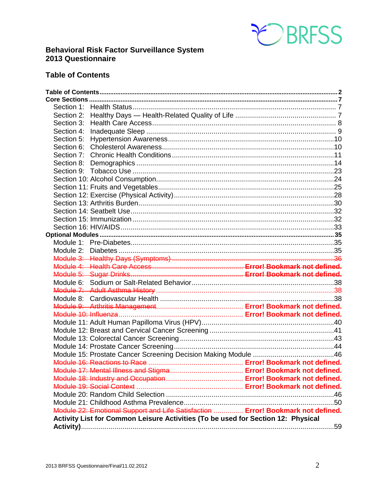

### **Behavioral Risk Factor Surveillance System 2013 Questionnaire**

## <span id="page-1-0"></span>**Table of Contents**

| Section 3: |                                                                                  |  |
|------------|----------------------------------------------------------------------------------|--|
| Section 4: |                                                                                  |  |
| Section 5: |                                                                                  |  |
| Section 6: |                                                                                  |  |
| Section 7: |                                                                                  |  |
|            |                                                                                  |  |
|            |                                                                                  |  |
|            |                                                                                  |  |
|            |                                                                                  |  |
|            |                                                                                  |  |
|            |                                                                                  |  |
|            |                                                                                  |  |
|            |                                                                                  |  |
|            |                                                                                  |  |
|            |                                                                                  |  |
|            |                                                                                  |  |
|            |                                                                                  |  |
|            |                                                                                  |  |
|            |                                                                                  |  |
|            |                                                                                  |  |
|            |                                                                                  |  |
|            |                                                                                  |  |
|            |                                                                                  |  |
|            |                                                                                  |  |
|            |                                                                                  |  |
|            |                                                                                  |  |
|            |                                                                                  |  |
|            |                                                                                  |  |
|            |                                                                                  |  |
|            |                                                                                  |  |
|            |                                                                                  |  |
|            |                                                                                  |  |
|            |                                                                                  |  |
|            |                                                                                  |  |
|            |                                                                                  |  |
|            |                                                                                  |  |
|            |                                                                                  |  |
|            | Module 22: Emotional Support and Life Satisfaction  Error! Bookmark not defined. |  |
|            | Activity List for Common Leisure Activities (To be used for Section 12: Physical |  |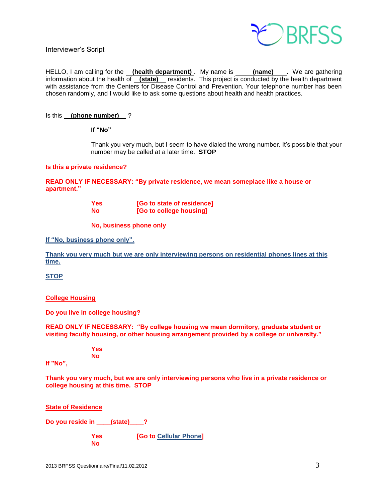

Interviewer's Script

HELLO, I am calling for the **(health department)**. My name is **(name)** Ne are gathering information about the health of **(state)** residents. This project is conducted by the health department with assistance from the Centers for Disease Control and Prevention. Your telephone number has been chosen randomly, and I would like to ask some questions about health and health practices.

#### Is this **(phone number)** ?

**If "No"** 

Thank you very much, but I seem to have dialed the wrong number. It's possible that your number may be called at a later time. **STOP**

#### **Is this a private residence?**

**READ ONLY IF NECESSARY: "By private residence, we mean someplace like a house or apartment."**

| <b>Yes</b> | [Go to state of residence] |
|------------|----------------------------|
| <b>No</b>  | [Go to college housing]    |

**No, business phone only**

**If "No, business phone only".**

**Thank you very much but we are only interviewing persons on residential phones lines at this time.**

**STOP**

#### **College Housing**

**Do you live in college housing?** 

**READ ONLY IF NECESSARY: "By college housing we mean dormitory, graduate student or visiting faculty housing, or other housing arrangement provided by a college or university."**

> **Yes No**

**If "No",**

**Thank you very much, but we are only interviewing persons who live in a private residence or college housing at this time. STOP** 

**State of Residence**

**Do you reside in \_\_\_\_(state)\_\_\_\_?** 

**Yes [Go to Cellular Phone] No**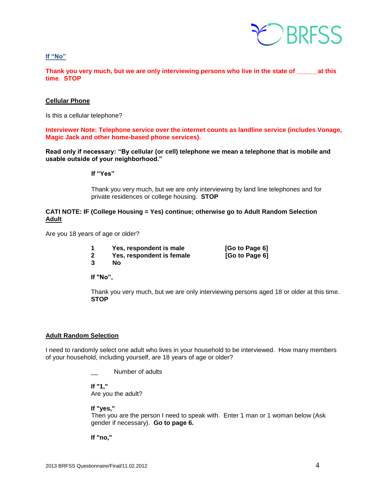

**If "No"**

**Thank you very much, but we are only interviewing persons who live in the state of \_\_\_\_\_\_at this time**. **STOP**

#### **Cellular Phone**

Is this a cellular telephone?

**Interviewer Note: Telephone service over the internet counts as landline service (includes Vonage, Magic Jack and other home-based phone services).**

**Read only if necessary: "By cellular (or cell) telephone we mean a telephone that is mobile and usable outside of your neighborhood."** 

**If "Yes"**

Thank you very much, but we are only interviewing by land line telephones and for private residences or college housing. **STOP**

#### **CATI NOTE: IF (College Housing = Yes) continue; otherwise go to Adult Random Selection Adult**

Are you 18 years of age or older?

- **1 Yes, respondent is male [Go to Page 6] 2 Yes, respondent is female [Go to Page 6]**
- 

**3 No**

**If "No",**

Thank you very much, but we are only interviewing persons aged 18 or older at this time. **STOP** 

#### **Adult Random Selection**

I need to randomly select one adult who lives in your household to be interviewed. How many members of your household, including yourself, are 18 years of age or older?

Number of adults

**If "1,"**  Are you the adult?

**If "yes,"** 

Then you are the person I need to speak with. Enter 1 man or 1 woman below (Ask gender if necessary). **Go to page 6.**

**If "no,"**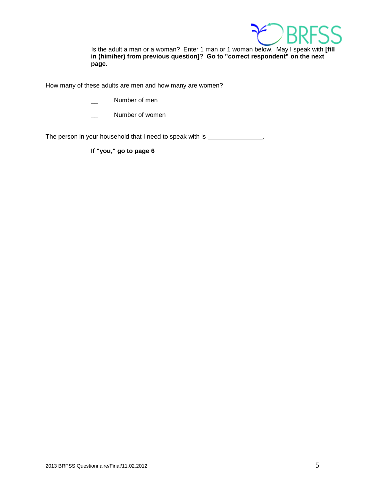

Is the adult a man or a woman? Enter 1 man or 1 woman below. May I speak with **[fill in (him/her) from previous question]**? **Go to "correct respondent" on the next page.**

How many of these adults are men and how many are women?

- Number of men
- Number of women

The person in your household that I need to speak with is \_\_\_\_\_\_\_\_\_\_\_\_\_\_\_.

**If "you," go to page 6**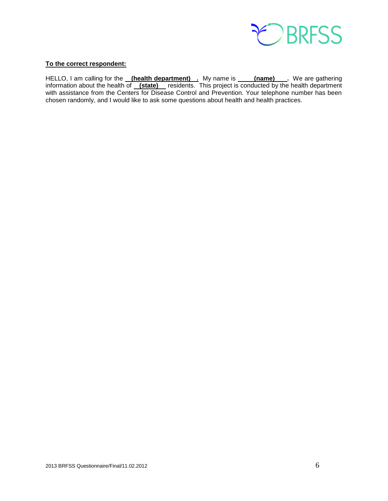

#### **To the correct respondent:**

<span id="page-5-0"></span>HELLO, I am calling for the **(health department)** . My name is **(name)** . We are gathering information about the health of **(state)** residents. This project is conducted by the health department with assistance from the Centers for Disease Control and Prevention. Your telephone number has been chosen randomly, and I would like to ask some questions about health and health practices.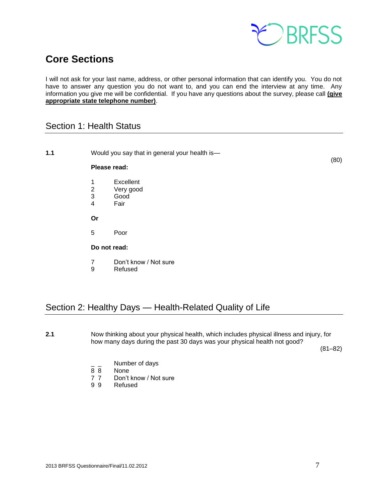

## **Core Sections**

I will not ask for your last name, address, or other personal information that can identify you. You do not have to answer any question you do not want to, and you can end the interview at any time. Any information you give me will be confidential. If you have any questions about the survey, please call **(give appropriate state telephone number)**.

## <span id="page-6-0"></span>Section 1: Health Status

**1.1** Would you say that in general your health is— (80) **Please read:** 1 Excellent 2 Very good 3 Good 4 Fair **Or** 5 Poor **Do not read:** 7 Don't know / Not sure 9 Refused Section 2: Healthy Days — Health-Related Quality of Life

<span id="page-6-1"></span>**2.1** Now thinking about your physical health, which includes physical illness and injury, for how many days during the past 30 days was your physical health not good?

(81–82)

- $\frac{1}{8}$   $\frac{1}{8}$  Number of days
- None
- 7 7 Don't know / Not sure
- 9 9 Refused

2013 BRFSS Questionnaire/Final/11.02.2012 7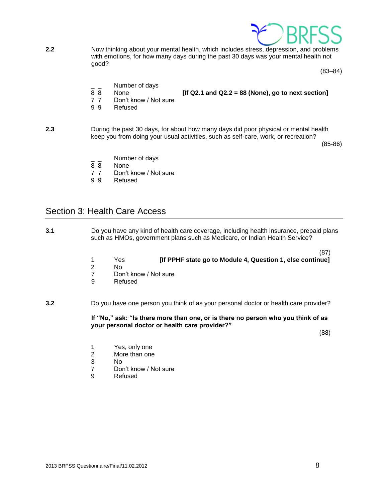

**2.2** Now thinking about your mental health, which includes stress, depression, and problems with emotions, for how many days during the past 30 days was your mental health not good?

(83–84)

- Number of days
- 8 8 None **[If Q2.1 and Q2.2 = 88 (None), go to next section]**
- 
- 7 7 Don't know / Not sure
- 9 9 Refused
- **2.3** During the past 30 days, for about how many days did poor physical or mental health keep you from doing your usual activities, such as self-care, work, or recreation?

(85-86)

- Number of days
- 8 8 None
- 7 7 Don't know / Not sure
- 9 9 Refused

## <span id="page-7-0"></span>Section 3: Health Care Access

- **3.1** Do you have any kind of health care coverage, including health insurance, prepaid plans such as HMOs, government plans such as Medicare, or Indian Health Service?
	- (87) 1 Yes **[If PPHF state go to Module 4, Question 1, else continue]**
	- No.
		- 7 Don't know / Not sure<br>9 Refused
		- **Refused**

**3.2** Do you have one person you think of as your personal doctor or health care provider?

**If "No," ask: "Is there more than one, or is there no person who you think of as your personal doctor or health care provider?"**

(88)

- 1 Yes, only one
- 2 More than one
- 3 No
- 7 Don't know / Not sure
- 9 Refused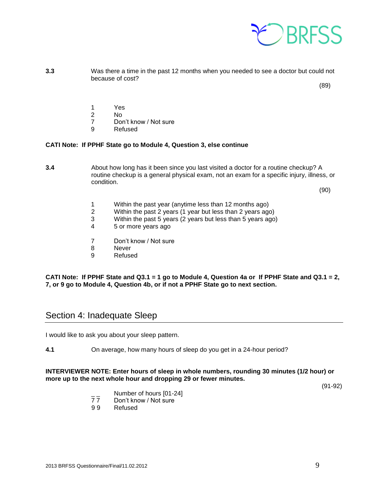

**3.3** Was there a time in the past 12 months when you needed to see a doctor but could not because of cost?

(89)

- 1 Yes<br>2 No
- $N<sub>0</sub>$
- 7 Don't know / Not sure
- 9 Refused

#### **CATI Note: If PPHF State go to Module 4, Question 3, else continue**

**3.4** About how long has it been since you last visited a doctor for a routine checkup? A routine checkup is a general physical exam, not an exam for a specific injury, illness, or condition.

(90)

- 1 Within the past year (anytime less than 12 months ago)
- 2 Within the past 2 years (1 year but less than 2 years ago)
- 3 Within the past 5 years (2 years but less than 5 years ago)
- 4 5 or more years ago
- 7 Don't know / Not sure
- 8 Never
- 9 Refused

#### **CATI Note: If PPHF State and Q3.1 = 1 go to Module 4, Question 4a or If PPHF State and Q3.1 = 2, 7, or 9 go to Module 4, Question 4b, or if not a PPHF State go to next section.**

## <span id="page-8-0"></span>Section 4: Inadequate Sleep

I would like to ask you about your sleep pattern.

**4.1** On average, how many hours of sleep do you get in a 24-hour period?

#### **INTERVIEWER NOTE: Enter hours of sleep in whole numbers, rounding 30 minutes (1/2 hour) or more up to the next whole hour and dropping 29 or fewer minutes.**

(91-92)

- $\frac{1}{7}$  Number of hours [01-24]<br>77 Don't know / Not sure
- Don't know / Not sure
- 9 9 Refused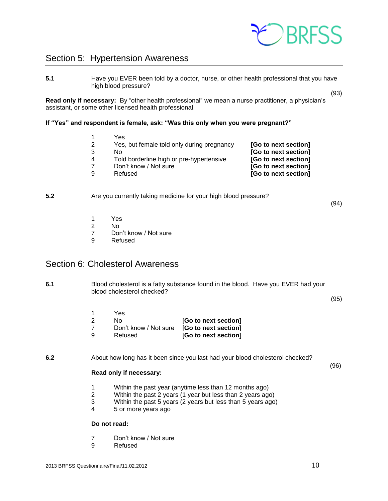

## <span id="page-9-0"></span>Section 5: Hypertension Awareness

**5.1** Have you EVER been told by a doctor, nurse, or other health professional that you have high blood pressure?

**Read only if necessary:** By "other health professional" we mean a nurse practitioner, a physician's assistant, or some other licensed health professional.

#### **If "Yes" and respondent is female, ask: "Was this only when you were pregnant?"**

1 Yes Yes, but female told only during pregnancy **[Go to next section]** No **[Go to next section]** Told borderline high or pre-hypertensive **[Go to next section]** Don't know / Not sure **[Go to next section]** Refused **[Go to next section]**

#### **5.2** Are you currently taking medicine for your high blood pressure?

(94)

(93)

- 1 Yes
- 2 No
- Don't know / Not sure
- 9 Refused

## <span id="page-9-1"></span>Section 6: Cholesterol Awareness

**6.1** Blood cholesterol is a fatty substance found in the blood. Have you EVER had your blood cholesterol checked?

(95)

- 1 Yes
- 2 No [**Go to next section]** 7 Don't know / Not sure [**Go to next section]**
- 9 Refused [**Go to next section]**

#### **6.2** About how long has it been since you last had your blood cholesterol checked?

(96)

#### **Read only if necessary:**

- 1 Within the past year (anytime less than 12 months ago)
- 2 Within the past 2 years (1 year but less than 2 years ago)
- 3 Within the past 5 years (2 years but less than 5 years ago)
- 4 5 or more years ago

#### **Do not read:**

- 7 Don't know / Not sure
- 9 Refused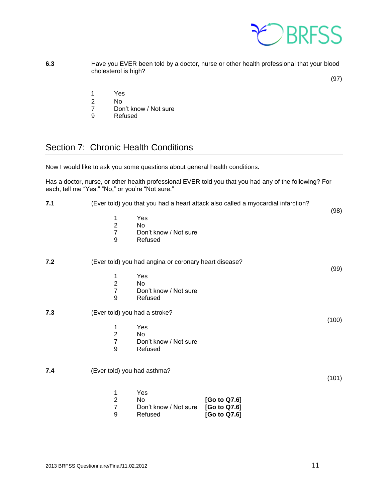

**6.3** Have you EVER been told by a doctor, nurse or other health professional that your blood cholesterol is high?

(97)

- 1 Yes<br>2 No
- No.
- 7 Don't know / Not sure<br>9 Refused
- **Refused**

## <span id="page-10-0"></span>Section 7: Chronic Health Conditions

Now I would like to ask you some questions about general health conditions.

Has a doctor, nurse, or other health professional EVER told you that you had any of the following? For each, tell me "Yes," "No," or you're "Not sure."

| 7.1 |                                                                    | (Ever told) you that you had a heart attack also called a myocardial infarction? |       |
|-----|--------------------------------------------------------------------|----------------------------------------------------------------------------------|-------|
|     | Yes<br>1<br>$\overline{c}$<br>No<br>$\overline{7}$<br>9<br>Refused | Don't know / Not sure                                                            | (98)  |
| 7.2 |                                                                    | (Ever told) you had angina or coronary heart disease?                            |       |
|     | Yes<br>1                                                           |                                                                                  | (99)  |
|     | $\overline{c}$<br>No                                               |                                                                                  |       |
|     | $\overline{7}$                                                     | Don't know / Not sure                                                            |       |
|     | 9<br>Refused                                                       |                                                                                  |       |
| 7.3 | (Ever told) you had a stroke?                                      |                                                                                  |       |
|     | Yes<br>1                                                           |                                                                                  | (100) |
|     | $\overline{\mathbf{c}}$<br><b>No</b>                               |                                                                                  |       |
|     | $\overline{7}$                                                     | Don't know / Not sure                                                            |       |
|     | 9<br>Refused                                                       |                                                                                  |       |
| 7.4 | (Ever told) you had asthma?                                        |                                                                                  |       |
|     |                                                                    |                                                                                  | (101) |
|     | Yes<br>1                                                           |                                                                                  |       |
|     | $\overline{c}$<br>No                                               | [Go to Q7.6]                                                                     |       |
|     | $\overline{7}$                                                     | Don't know / Not sure<br>[Go to Q7.6]                                            |       |
|     | 9<br>Refused                                                       | [Go to Q7.6]                                                                     |       |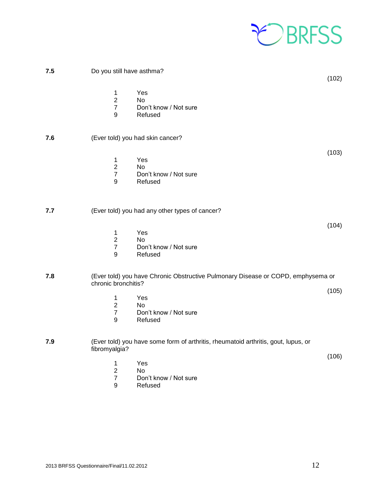

| 7.5 | Do you still have asthma?                                                                                         | (102) |
|-----|-------------------------------------------------------------------------------------------------------------------|-------|
|     | Yes<br>1<br>$\sqrt{2}$<br>No<br>$\overline{7}$<br>Don't know / Not sure<br>9<br>Refused                           |       |
| 7.6 | (Ever told) you had skin cancer?                                                                                  |       |
|     | Yes<br>$\mathbf{1}$<br>$\sqrt{2}$<br>No<br>$\boldsymbol{7}$<br>Don't know / Not sure<br>$9\,$<br>Refused          | (103) |
| 7.7 | (Ever told) you had any other types of cancer?                                                                    |       |
|     | Yes<br>1<br>$\overline{2}$<br>No<br>$\overline{7}$<br>Don't know / Not sure<br>$9\,$<br>Refused                   | (104) |
| 7.8 | (Ever told) you have Chronic Obstructive Pulmonary Disease or COPD, emphysema or<br>chronic bronchitis?           |       |
|     | 1<br>Yes<br>$\boldsymbol{2}$<br>No<br>$\overline{7}$<br>Don't know / Not sure<br>$\boldsymbol{9}$<br>Refused      | (105) |
| 7.9 | (Ever told) you have some form of arthritis, rheumatoid arthritis, gout, lupus, or<br>fibromyalgia?               |       |
|     | 1<br>Yes<br>$\overline{2}$<br><b>No</b><br>$\overline{7}$<br>Don't know / Not sure<br>$\boldsymbol{9}$<br>Refused | (106) |
|     |                                                                                                                   |       |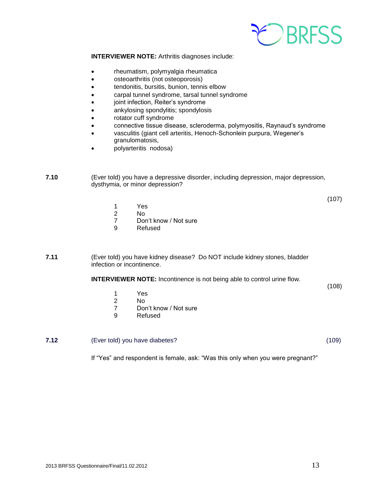

**INTERVIEWER NOTE:** Arthritis diagnoses include:

- rheumatism, polymyalgia rheumatica
- osteoarthritis (not osteoporosis)
- tendonitis, bursitis, bunion, tennis elbow
- carpal tunnel syndrome, tarsal tunnel syndrome
- joint infection, Reiter's syndrome
- ankylosing spondylitis; spondylosis
- rotator cuff syndrome
- connective tissue disease, scleroderma, polymyositis, Raynaud's syndrome
- vasculitis (giant cell arteritis, Henoch-Schonlein purpura, Wegener's granulomatosis,
- polyarteritis nodosa)

**7.10** (Ever told) you have a depressive disorder, including depression, major depression, dysthymia, or minor depression?

(107)

- 1 Yes
- 2 No
- 7 Don't know / Not sure
- 9 Refused

**7.11** (Ever told) you have kidney disease? Do NOT include kidney stones, bladder infection or incontinence.

**INTERVIEWER NOTE:** Incontinence is not being able to control urine flow.

(108)

- 1 Yes
- 2 No
- 7 Don't know / Not sure
- 9 Refused

**7.12** (Ever told) you have diabetes? (109)

If "Yes" and respondent is female, ask: "Was this only when you were pregnant?"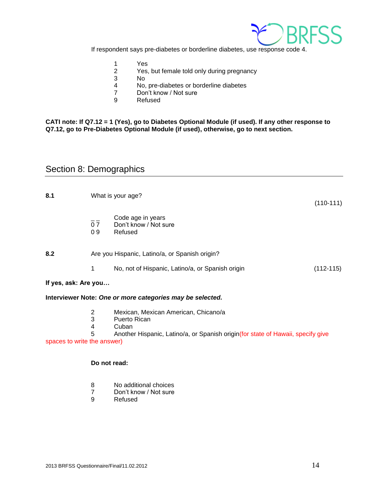

If respondent says pre-diabetes or borderline diabetes, use response code 4.

- 1 Yes<br>2 Yes.
- Yes, but female told only during pregnancy
- 3 No
- 4 No, pre-diabetes or borderline diabetes
- 7 Don't know / Not sure
- 9 Refused

#### **CATI note: If Q7.12 = 1 (Yes), go to Diabetes Optional Module (if used). If any other response to Q7.12, go to Pre-Diabetes Optional Module (if used), otherwise, go to next section.**

## <span id="page-13-0"></span>Section 8: Demographics

| 8.1                  |          | What is your age?                                         | $(110-111)$ |
|----------------------|----------|-----------------------------------------------------------|-------------|
|                      | 07<br>09 | Code age in years<br>Don't know / Not sure<br>Refused     |             |
| 8.2                  |          | Are you Hispanic, Latino/a, or Spanish origin?            |             |
|                      | 1        | No, not of Hispanic, Latino/a, or Spanish origin          | $(112-115)$ |
| If yes, ask: Are you |          |                                                           |             |
|                      |          | Interviewer Note: One or more categories may be selected. |             |

- 2 Mexican, Mexican American, Chicano/a
- 3 Puerto Rican
- 4 Cuban

5 Another Hispanic, Latino/a, or Spanish origin(for state of Hawaii, specify give spaces to write the answer)

#### **Do not read:**

- 8 No additional choices
- 7 Don't know / Not sure
- 9 Refused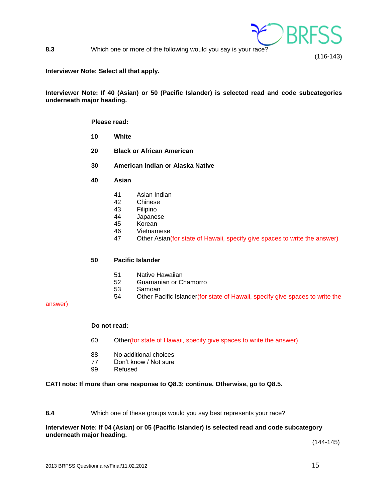

**8.3** Which one or more of the following would you say is your race?

#### **Interviewer Note: Select all that apply.**

**Interviewer Note: If 40 (Asian) or 50 (Pacific Islander) is selected read and code subcategories underneath major heading.**

#### **Please read:**

- **10 White**
- **20 Black or African American**
- **30 American Indian or Alaska Native**
- **40 Asian**
	- 41 Asian Indian
	- 42 Chinese
	- 43 Filipino<br>44 Japanes
	- Japanese
	- 45 Korean
	- 46 Vietnamese
	- 47 Other Asian(for state of Hawaii, specify give spaces to write the answer)

#### **50 Pacific Islander**

- 51 Native Hawaiian
- 52 Guamanian or Chamorro
- 53 Samoan
- 54 Other Pacific Islander(for state of Hawaii, specify give spaces to write the

answer)

#### **Do not read:**

- 60 Other(for state of Hawaii, specify give spaces to write the answer)
- 88 No additional choices
- 77 Don't know / Not sure
- 99 Refused

#### **CATI note: If more than one response to Q8.3; continue. Otherwise, go to Q8.5.**

#### **8.4** Which one of these groups would you say best represents your race?

#### **Interviewer Note: If 04 (Asian) or 05 (Pacific Islander) is selected read and code subcategory underneath major heading.**

(144-145)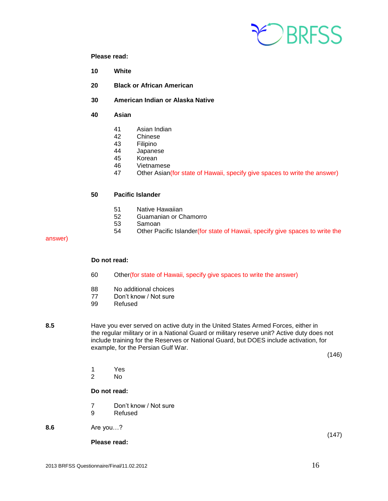

#### **Please read:**

- **10 White**
- **20 Black or African American**
- **30 American Indian or Alaska Native**
- **40 Asian**
	- 41 Asian Indian
	- 42 Chinese
	- 43 Filipino<br>44 Japane:
	- Japanese
	- 45 Korean
	- 46 Vietnamese
	- 47 Other Asian(for state of Hawaii, specify give spaces to write the answer)

#### **50 Pacific Islander**

- 51 Native Hawaiian<br>52 Guamanian or C
- Guamanian or Chamorro
- 53 Samoan
- 54 Other Pacific Islander(for state of Hawaii, specify give spaces to write the

#### answer)

#### **Do not read:**

- 60 Other(for state of Hawaii, specify give spaces to write the answer)
- 88 No additional choices
- 77 Don't know / Not sure
- 99 Refused
- 

**8.5** Have you ever served on active duty in the United States Armed Forces, either in the regular military or in a National Guard or military reserve unit? Active duty does not include training for the Reserves or National Guard, but DOES include activation, for example, for the Persian Gulf War.

(146)

(147)

- 1 Yes<br>2 No
- N<sub>o</sub>

#### **Do not read:**

- 7 Don't know / Not sure
- 9 Refused
- **8.6** Are you…?

**Please read:**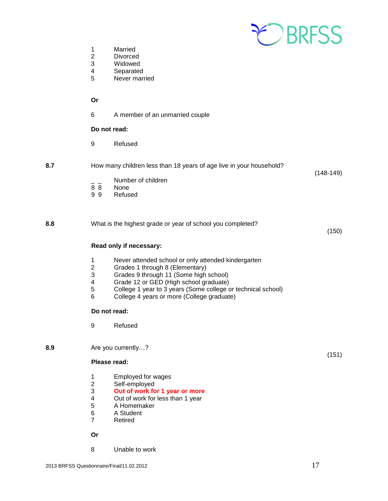

- 1 Married<br>2 Divorcee
- **Divorced**
- 3 Widowed<br>4 Separated
- **Separated**
- 5 Never married

#### **Or**

6 A member of an unmarried couple

#### **Do not read:**

- 9 Refused
- **8.7** How many children less than 18 years of age live in your household? (148-149)
	- $\frac{1}{8}$   $\frac{1}{8}$  Number of children
	- 8 8 None<br>9 9 Refus
	- **Refused**

**8.8** What is the highest grade or year of school you completed?

**Read only if necessary:**

- 1 Never attended school or only attended kindergarten
- 2 Grades 1 through 8 (Elementary)<br>3 Grades 9 through 11 (Some high
	- Grades 9 through 11 (Some high school)
- 4 Grade 12 or GED (High school graduate)
- 5 College 1 year to 3 years (Some college or technical school)
- 6 College 4 years or more (College graduate)

#### **Do not read:**

9 Refused

**8.9** Are you currently…?

#### **Please read:**

- 1 Employed for wages
- 2 Self-employed
- 3 **Out of work for 1 year or more**
- Out of work for less than 1 year
- 5 A Homemaker
- 6 A Student
- 7 Retired

**Or**

8 Unable to work

(150)

(151)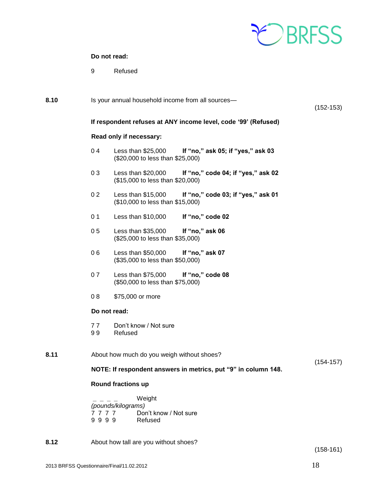

### **Do not read:**

9 Refused

| 8.10 | Is your annual household income from all sources-<br>$(152-153)$              |                                                                  |                                    |  |  |
|------|-------------------------------------------------------------------------------|------------------------------------------------------------------|------------------------------------|--|--|
|      |                                                                               | If respondent refuses at ANY income level, code '99' (Refused)   |                                    |  |  |
|      |                                                                               | Read only if necessary:                                          |                                    |  |  |
|      | 04                                                                            | Less than $$25,000$<br>(\$20,000 to less than \$25,000)          | If "no," ask 05; if "yes," ask 03  |  |  |
|      | 03                                                                            | Less than $$20,000$<br>(\$15,000 to less than \$20,000)          | If "no," code 04; if "yes," ask 02 |  |  |
|      | 0 <sub>2</sub>                                                                | Less than $$15,000$<br>(\$10,000 to less than \$15,000)          | If "no," code 03; if "yes," ask 01 |  |  |
|      | 0 <sub>1</sub>                                                                | Less than $$10,000$                                              | If "no," code 02                   |  |  |
|      | 05                                                                            | Less than \$35,000<br>(\$25,000 to less than \$35,000)           | If "no," ask 06                    |  |  |
|      | 06                                                                            | Less than \$50,000<br>(\$35,000 to less than \$50,000)           | If "no," ask 07                    |  |  |
|      | 07                                                                            | Less than \$75,000<br>(\$50,000 to less than \$75,000)           | If "no," code 08                   |  |  |
|      | 08                                                                            | \$75,000 or more                                                 |                                    |  |  |
|      | Do not read:                                                                  |                                                                  |                                    |  |  |
|      | 77<br>99                                                                      | Don't know / Not sure<br>Refused                                 |                                    |  |  |
| 8.11 | About how much do you weigh without shoes?                                    |                                                                  |                                    |  |  |
|      | $(154-157)$<br>NOTE: If respondent answers in metrics, put "9" in column 148. |                                                                  |                                    |  |  |
|      | Round fractions up                                                            |                                                                  |                                    |  |  |
|      | 7777<br>9999                                                                  | Weight<br>(pounds/kilograms)<br>Don't know / Not sure<br>Refused |                                    |  |  |
| 8.12 |                                                                               | About how tall are you without shoes?                            |                                    |  |  |

(158-161)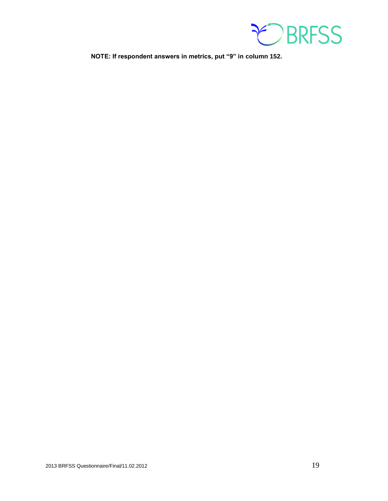

**NOTE: If respondent answers in metrics, put "9" in column 152.**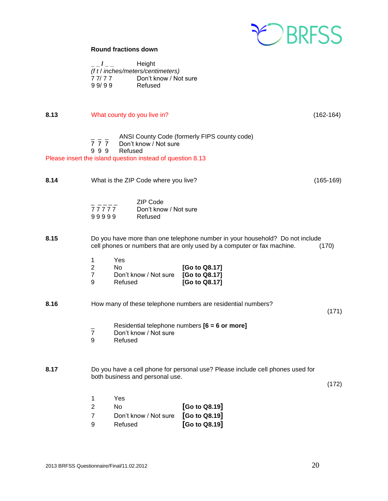

#### **Round fractions down**

| $\overline{I}$ | Height                            |
|----------------|-----------------------------------|
|                | (f t / inches/meters/centimeters) |
| 77/77          | Don't know / Not sure             |
| 99/99          | Refused                           |

**8.13** What county do you live in? Contract the country of the country of the country of the country of the country of the country of the country of the country of the country of the country of the country of the country o  $\frac{1}{7}$   $\frac{1}{7}$  ANSI County Code (formerly FIPS county code)<br>7 7 7 Don't know / Not sure Don't know / Not sure 9 9 9 Refused Please insert the island question instead of question 8.13 **8.14** What is the ZIP Code where you live? Conserved the SIP Code where you live? ZIP Code 7 7 7 7 7 Don't know / Not sure<br>9 9 9 9 9 9 Refused 99999 **8.15** Do you have more than one telephone number in your household? Do not include cell phones or numbers that are only used by a computer or fax machine. (170) 1 Yes 2 No **[Go to Q8.17]** 7 Don't know / Not sure<br>9 Refused Refused **[Go to Q8.17] 8.16** How many of these telephone numbers are residential numbers? (171) \_ Residential telephone numbers **[6 = 6 or more]** Don't know / Not sure 9 Refused **8.17** Do you have a cell phone for personal use? Please include cell phones used for both business and personal use. (172) 1 Yes 2 No **[Go to Q8.19]** 7 Don't know / Not sure **[Go to Q8.19]** 9 Refused **[Go to Q8.19]**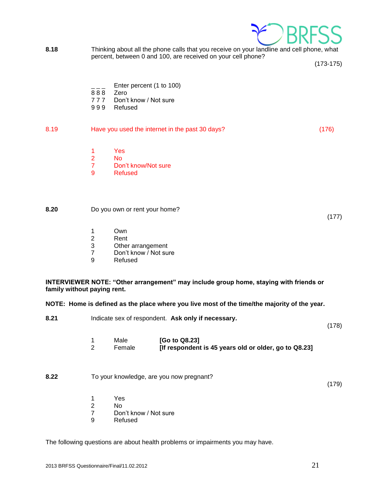

**8.18** Thinking about all the phone calls that you receive on your landline and cell phone, what percent, between 0 and 100, are received on your cell phone?

(173-175)

(177)

- Enter percent (1 to 100)
- 8 8 8 Zero
- 7 7 7 Don't know / Not sure
- 9 9 9 Refused

#### 8.19 Have you used the internet in the past 30 days? (176)

- 1 Yes<br>2 No
- N<sub>o</sub>
- 7 Don't know/Not sure
- 9 Refused

#### **8.20** Do you own or rent your home?

- 1 Own<br>2 Rent
- Rent
- 3 Other arrangement
- 7 Don't know / Not sure
- 9 Refused

#### **INTERVIEWER NOTE: "Other arrangement" may include group home, staying with friends or family without paying rent.**

#### **NOTE: Home is defined as the place where you live most of the time/the majority of the year.**

| 8.21 | Indicate sex of respondent. Ask only if necessary. |                                                                        |       |
|------|----------------------------------------------------|------------------------------------------------------------------------|-------|
|      | Male<br>Female<br>2                                | [Go to Q8.23]<br>[If respondent is 45 years old or older, go to Q8.23] |       |
| 8.22 |                                                    | To your knowledge, are you now pregnant?                               | (179) |
|      | Yes                                                |                                                                        |       |

- 2 No
- 7 Don't know / Not sure
- 9 Refused

The following questions are about health problems or impairments you may have.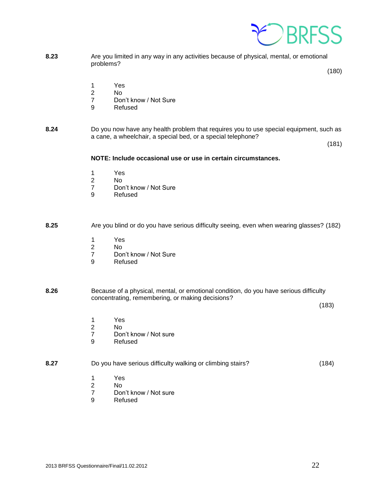

**8.23** Are you limited in any way in any activities because of physical, mental, or emotional problems?

(180)

- 1 Yes
- 2 No
- 7 Don't know / Not Sure
- 9 Refused
- **8.24** Do you now have any health problem that requires you to use special equipment, such as a cane, a wheelchair, a special bed, or a special telephone?

(181)

#### **NOTE: Include occasional use or use in certain circumstances.**

- 1 Yes
- 2 No
- 7 Don't know / Not Sure<br>9 Refused
- **Refused**

#### **8.25** Are you blind or do you have serious difficulty seeing, even when wearing glasses? (182)

- 1 Yes
- 2 No
- 7 Don't know / Not Sure<br>9 Refused
- **Refused**

#### **8.26** Because of a physical, mental, or emotional condition, do you have serious difficulty concentrating, remembering, or making decisions?

(183)

- 1 Yes<br>2 No
- No.
- 7 Don't know / Not sure<br>9 Refused
- **Refused**

## **8.27** Do you have serious difficulty walking or climbing stairs? (184)

- 1 Yes
- 2 No
- 7 Don't know / Not sure
- 9 Refused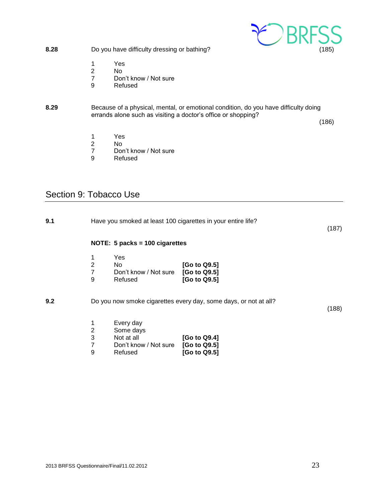<span id="page-22-0"></span>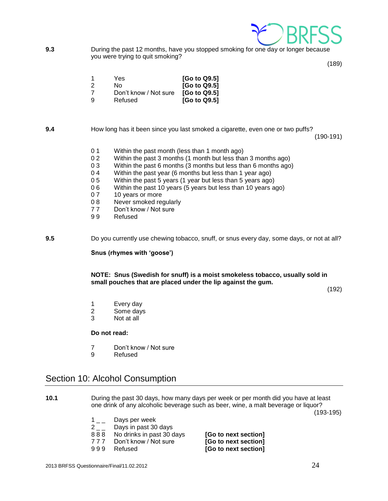

**9.3** During the past 12 months, have you stopped smoking for one day or longer because you were trying to quit smoking?

(189)

| 1  | Yes                   | [Go to Q9.5] |
|----|-----------------------|--------------|
| 2  | N٥                    | [Go to Q9.5] |
|    | Don't know / Not sure | [Go to Q9.5] |
| -9 | Refused               | [Go to Q9.5] |

**9.4** How long has it been since you last smoked a cigarette, even one or two puffs?

(190-191)

- 0 1 Within the past month (less than 1 month ago)
- 0 2 Within the past 3 months (1 month but less than 3 months ago)
- 0 3 Within the past 6 months (3 months but less than 6 months ago)
- 0 4 Within the past year (6 months but less than 1 year ago)
- 0 5 Within the past 5 years (1 year but less than 5 years ago)
- 0 6 Within the past 10 years (5 years but less than 10 years ago)
- 0 7 10 years or more
- 0 8 Never smoked regularly
- 7 7 Don't know / Not sure
- 9 9 Refused

**9.5** Do you currently use chewing tobacco, snuff, or snus every day, some days, or not at all?

**Snus (rhymes with 'goose')**

**NOTE: Snus (Swedish for snuff) is a moist smokeless tobacco, usually sold in small pouches that are placed under the lip against the gum.**

(192)

- 1 Every day
- 2 Some days
- 3 Not at all

#### **Do not read:**

- 7 Don't know / Not sure<br>9 Refused
- **Refused**

## <span id="page-23-0"></span>Section 10: Alcohol Consumption

- **10.1** During the past 30 days, how many days per week or per month did you have at least one drink of any alcoholic beverage such as beer, wine, a malt beverage or liquor? (193-195)
	- $1_{--}$  Days per week
	- 2 \_ \_ Days in past 30 days
	- 8 8 8 No drinks in past 30 days **[Go to next section]**
	- 7 7 7 Don't know / Not sure **[Go to next section]**
	-

9 9 9 Refused **[Go to next section]**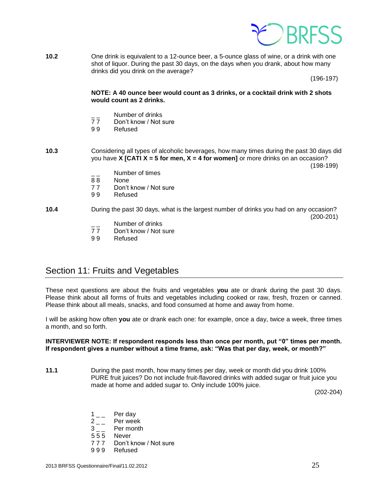

**10.2** One drink is equivalent to a 12-ounce beer, a 5-ounce glass of wine, or a drink with one shot of liquor. During the past 30 days, on the days when you drank, about how many drinks did you drink on the average?

(196-197)

#### **NOTE: A 40 ounce beer would count as 3 drinks, or a cocktail drink with 2 shots would count as 2 drinks.**

- Number of drinks<br>77 Don't know / Not s
- Don't know / Not sure
- 9 9 Refused
- **10.3** Considering all types of alcoholic beverages, how many times during the past 30 days did you have **X [CATI X = 5 for men, X = 4 for women]** or more drinks on an occasion?

(198-199)

- Number of times
- 8 8 None
- 7 7 Don't know / Not sure
- 9 9 Refused

#### **10.4** During the past 30 days, what is the largest number of drinks you had on any occasion? (200-201)

- $\frac{1}{7}$  Number of drinks<br>77 Don't know / Not s
- Don't know / Not sure
- 9 9 Refused

## <span id="page-24-0"></span>Section 11: Fruits and Vegetables

These next questions are about the fruits and vegetables **you** ate or drank during the past 30 days. Please think about all forms of fruits and vegetables including cooked or raw, fresh, frozen or canned. Please think about all meals, snacks, and food consumed at home and away from home.

I will be asking how often **you** ate or drank each one: for example, once a day, twice a week, three times a month, and so forth.

#### **INTERVIEWER NOTE: If respondent responds less than once per month, put "0" times per month. If respondent gives a number without a time frame, ask: "Was that per day, week, or month?"**

**11.1** During the past month, how many times per day, week or month did you drink 100% PURE fruit juices? Do not include fruit-flavored drinks with added sugar or fruit juice you made at home and added sugar to. Only include 100% juice.

(202-204)

- $1\degree$  Per day
- $2_{--}$  Per week
- 3 \_ \_ Per month
- 5 5 5 Never
- 7 7 7 Don't know / Not sure
- 9 9 9 Refused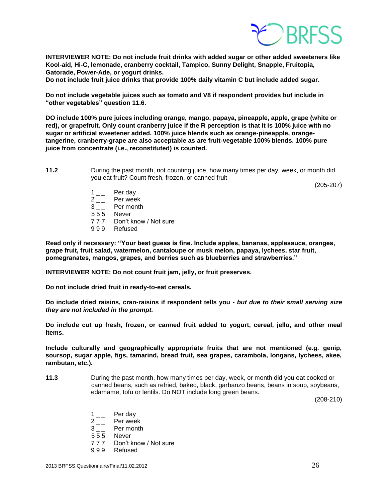

**INTERVIEWER NOTE: Do not include fruit drinks with added sugar or other added sweeteners like Kool-aid, Hi-C, lemonade, cranberry cocktail, Tampico, Sunny Delight, Snapple, Fruitopia, Gatorade, Power-Ade, or yogurt drinks.** 

**Do not include fruit juice drinks that provide 100% daily vitamin C but include added sugar.**

**Do not include vegetable juices such as tomato and V8 if respondent provides but include in "other vegetables" question 11.6.**

**DO include 100% pure juices including orange, mango, papaya, pineapple, apple, grape (white or red), or grapefruit. Only count cranberry juice if the R perception is that it is 100% juice with no sugar or artificial sweetener added. 100% juice blends such as orange-pineapple, orangetangerine, cranberry-grape are also acceptable as are fruit-vegetable 100% blends. 100% pure juice from concentrate (i.e., reconstituted) is counted.** 

**11.2** During the past month, not counting juice, how many times per day, week, or month did you eat fruit? Count fresh, frozen, or canned fruit

(205-207)

- $1_{--}$  Per day
- 2 \_ Per week
- 3 \_ \_ Per month
- 5 5 5 Never
- 7 7 7 Don't know / Not sure
- 9 9 9 Refused

**Read only if necessary: "Your best guess is fine. Include apples, bananas, applesauce, oranges, grape fruit, fruit salad, watermelon, cantaloupe or musk melon, papaya, lychees, star fruit, pomegranates, mangos, grapes, and berries such as blueberries and strawberries."**

**INTERVIEWER NOTE: Do not count fruit jam, jelly, or fruit preserves.** 

**Do not include dried fruit in ready-to-eat cereals.** 

**Do include dried raisins, cran-raisins if respondent tells you -** *but due to their small serving size they are not included in the prompt.*

**Do include cut up fresh, frozen, or canned fruit added to yogurt, cereal, jello, and other meal items.**

**Include culturally and geographically appropriate fruits that are not mentioned (e.g. genip, soursop, sugar apple, figs, tamarind, bread fruit, sea grapes, carambola, longans, lychees, akee, rambutan, etc.).**

**11.3** During the past month, how many times per day, week, or month did you eat cooked or canned beans, such as refried, baked, black, garbanzo beans, beans in soup, soybeans, edamame, tofu or lentils. Do NOT include long green beans.

(208-210)

- $1\qquad$  Per day
- $2_{--}$  Per week
- 3 \_ \_ Per month
- 5 5 5 Never
- 7 7 7 Don't know / Not sure
- 9 9 9 Refused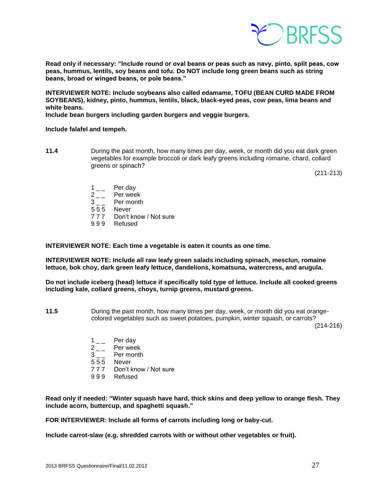

**Read only if necessary: "Include round or oval beans or peas such as navy, pinto, split peas, cow peas, hummus, lentils, soy beans and tofu. Do NOT include long green beans such as string beans, broad or winged beans, or pole beans."**

**INTERVIEWER NOTE: Include soybeans also called edamame, TOFU (BEAN CURD MADE FROM SOYBEANS), kidney, pinto, hummus, lentils, black, black-eyed peas, cow peas, lima beans and white beans.**

**Include bean burgers including garden burgers and veggie burgers.**

#### **Include falafel and tempeh.**

**11.4** During the past month, how many times per day, week, or month did you eat dark green vegetables for example broccoli or dark leafy greens including romaine, chard, collard greens or spinach?

(211-213)

- 
- $1 \quad \quad \text{Per day} \\ 2 \quad \quad \text{Per week}$  $2 \quad - \quad$  Per week<br>3 Per month
- Per month
- 5 5 5 Never
- 7 7 7 Don't know / Not sure
- 9 9 9 Refused

**INTERVIEWER NOTE: Each time a vegetable is eaten it counts as one time.**

**INTERVIEWER NOTE: Include all raw leafy green salads including spinach, mesclun, romaine lettuce, bok choy, dark green leafy lettuce, dandelions, komatsuna, watercress, and arugula.**

**Do not include iceberg (head) lettuce if specifically told type of lettuce. Include all cooked greens including kale, collard greens, choys, turnip greens, mustard greens.** 

**11.5** During the past month, how many times per day, week, or month did you eat orangecolored vegetables such as sweet potatoes, pumpkin, winter squash, or carrots?

(214-216)

- $1_{--}$  Per day
- $2 \quad \quad$  Per week<br>3 Per month
- Per month
- 5 5 5 Never
- 7 7 7 Don't know / Not sure
- 9 9 9 Refused

**Read only if needed: "Winter squash have hard, thick skins and deep yellow to orange flesh. They include acorn, buttercup, and spaghetti squash."**

**FOR INTERVIEWER: Include all forms of carrots including long or baby-cut.**

**Include carrot-slaw (e.g. shredded carrots with or without other vegetables or fruit).**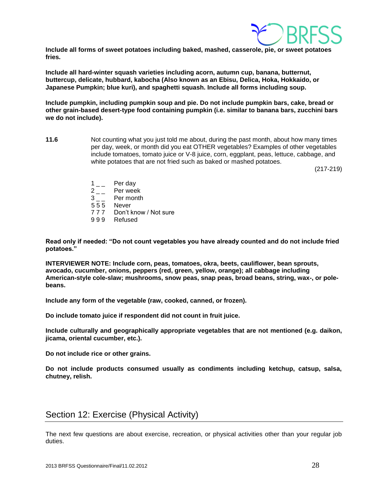

**Include all forms of sweet potatoes including baked, mashed, casserole, pie, or sweet potatoes fries.** 

**Include all hard-winter squash varieties including acorn, autumn cup, banana, butternut, buttercup, delicate, hubbard, kabocha (Also known as an Ebisu, Delica, Hoka, Hokkaido, or Japanese Pumpkin; blue kuri), and spaghetti squash. Include all forms including soup.**

**Include pumpkin, including pumpkin soup and pie. Do not include pumpkin bars, cake, bread or other grain-based desert-type food containing pumpkin (i.e. similar to banana bars, zucchini bars we do not include).**

**11.6** Not counting what you just told me about, during the past month, about how many times per day, week, or month did you eat OTHER vegetables? Examples of other vegetables include tomatoes, tomato juice or V-8 juice, corn, eggplant, peas, lettuce, cabbage, and white potatoes that are not fried such as baked or mashed potatoes.

(217-219)

- $1\qquad$  Per day
- 2 \_ \_ Per week
- 3 \_ \_ Per month
- 555 Never
- 7 7 7 Don't know / Not sure
- 999 Refused

**Read only if needed: "Do not count vegetables you have already counted and do not include fried potatoes."**

**INTERVIEWER NOTE: Include corn, peas, tomatoes, okra, beets, cauliflower, bean sprouts, avocado, cucumber, onions, peppers (red, green, yellow, orange); all cabbage including American-style cole-slaw; mushrooms, snow peas, snap peas, broad beans, string, wax-, or polebeans.**

**Include any form of the vegetable (raw, cooked, canned, or frozen).** 

**Do include tomato juice if respondent did not count in fruit juice.**

**Include culturally and geographically appropriate vegetables that are not mentioned (e.g. daikon, jicama, oriental cucumber, etc.).**

**Do not include rice or other grains.**

**Do not include products consumed usually as condiments including ketchup, catsup, salsa, chutney, relish.** 

## <span id="page-27-0"></span>Section 12: Exercise (Physical Activity)

The next few questions are about exercise, recreation, or physical activities other than your regular job duties.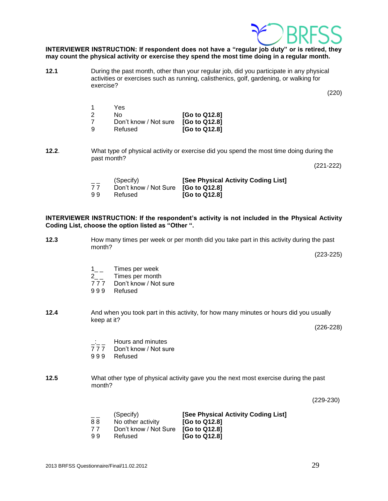#### **INTERVIEWER INSTRUCTION: If respondent does not have a "regular job duty" or is retired, they may count the physical activity or exercise they spend the most time doing in a regular month.**

**12.1** During the past month, other than your regular job, did you participate in any physical activities or exercises such as running, calisthenics, golf, gardening, or walking for exercise?

| $\overline{\mathbf{1}}$ | Yes                   |               |
|-------------------------|-----------------------|---------------|
| 2                       | N٥                    | [Go to Q12.8] |
| 7                       | Don't know / Not sure | [Go to Q12.8] |
| ۰Q                      | Refused               | [Go to Q12.8] |

**12.2**. What type of physical activity or exercise did you spend the most time doing during the past month?

(221-222)

(220)

| $- -$ | (Specify)                                  | [See Physical Activity Coding List] |
|-------|--------------------------------------------|-------------------------------------|
| 77    | Don't know / Not Sure <b>[Go to Q12.8]</b> |                                     |
| 99    | Refused                                    | $[G0$ to Q12.8                      |

#### **INTERVIEWER INSTRUCTION: If the respondent's activity is not included in the Physical Activity Coding List, choose the option listed as "Other ".**

- **12.3** How many times per week or per month did you take part in this activity during the past month? (223-225)
	- 1<sub>\_\_</sub> Times per week
	- 2<sub>\_\_</sub> Times per month<br>777 Don't know / Not s
	- Don't know / Not sure
	- 9 9 9 Refused

**12.4** And when you took part in this activity, for how many minutes or hours did you usually keep at it?

(226-228)

- $\frac{1}{7}$   $\frac{1}{7}$  Hours and minutes
- Don't know / Not sure
- 9 9 9 Refused

#### **12.5** What other type of physical activity gave you the next most exercise during the past month?

(229-230)

| $- -$ | (Specify)                           | [See Physical Activity Coding List] |
|-------|-------------------------------------|-------------------------------------|
| 88    | No other activity                   | $[G0$ to Q12.8                      |
| 77    | Don't know / Not Sure [Go to Q12.8] |                                     |
| 99    | Refused                             | $[G0$ to Q12.8]                     |

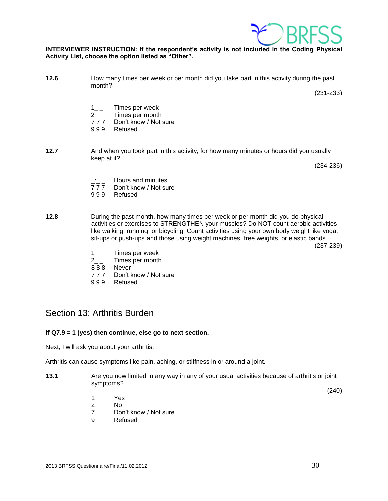

#### **INTERVIEWER INSTRUCTION: If the respondent's activity is not included in the Coding Physical Activity List, choose the option listed as "Other".**

**12.6** How many times per week or per month did you take part in this activity during the past month?

(231-233)

- 1\_\_ Times per week
- 2<sub>\_\_</sub> Times per month
- 7 7 7 Don't know / Not sure
- 9 9 9 Refused
- **12.7** And when you took part in this activity, for how many minutes or hours did you usually keep at it?

(234-236)

- $\frac{1}{7}$   $\frac{1}{7}$  Hours and minutes
- 777 Don't know / Not sure<br>999 Refused
- **Refused**
- **12.8** During the past month, how many times per week or per month did you do physical activities or exercises to STRENGTHEN your muscles? Do NOT count aerobic activities like walking, running, or bicycling. Count activities using your own body weight like yoga, sit-ups or push-ups and those using weight machines, free weights, or elastic bands.

(237-239)

- 1<sub>\_\_</sub> Times per week
- 2\_ \_ Times per month
- 8 8 8 Never
- 7 7 7 Don't know / Not sure
- 9 9 9 Refused

## <span id="page-29-0"></span>Section 13: Arthritis Burden

#### **If Q7.9 = 1 (yes) then continue, else go to next section.**

Next, I will ask you about your arthritis.

Arthritis can cause symptoms like pain, aching, or stiffness in or around a joint.

**13.1** Are you now limited in any way in any of your usual activities because of arthritis or joint symptoms?

(240)

- 1 Yes
- 2 No
- 7 Don't know / Not sure
- 9 Refused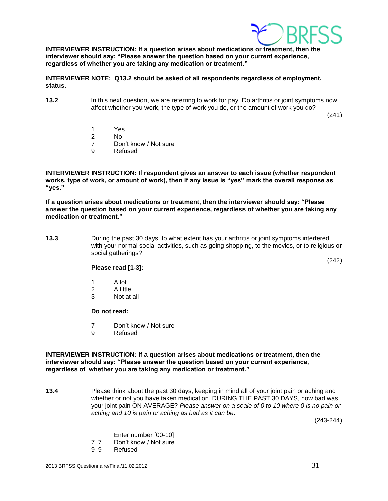

**INTERVIEWER INSTRUCTION: If a question arises about medications or treatment, then the interviewer should say: "Please answer the question based on your current experience, regardless of whether you are taking any medication or treatment."**

**INTERVIEWER NOTE: Q13.2 should be asked of all respondents regardless of employment. status.**

**13.2** In this next question, we are referring to work for pay. Do arthritis or joint symptoms now affect whether you work, the type of work you do, or the amount of work you do?

(241)

(242)

- 1 Yes
- 2 No
- 7 Don't know / Not sure
- 9 Refused

**INTERVIEWER INSTRUCTION: If respondent gives an answer to each issue (whether respondent works, type of work, or amount of work), then if any issue is "yes" mark the overall response as "yes."** 

**If a question arises about medications or treatment, then the interviewer should say: "Please answer the question based on your current experience, regardless of whether you are taking any medication or treatment."**

**13.3** During the past 30 days, to what extent has your arthritis or joint symptoms interfered with your normal social activities, such as going shopping, to the movies, or to religious or social gatherings?

**Please read [1-3]:**

- 1 A lot
- 2 A little
- 3 Not at all

#### **Do not read:**

- 7 Don't know / Not sure
- 9 Refused

#### **INTERVIEWER INSTRUCTION: If a question arises about medications or treatment, then the interviewer should say: "Please answer the question based on your current experience, regardless of whether you are taking any medication or treatment."**

**13.4** Please think about the past 30 days, keeping in mind all of your joint pain or aching and whether or not you have taken medication. DURING THE PAST 30 DAYS, how bad was your joint pain ON AVERAGE? *Please answer on a scale of 0 to 10 where 0 is no pain or aching and 10 is pain or aching as bad as it can be*.

(243-244)

- $\frac{1}{7}$  Enter number  $[00-10]$ <br>7 7 Don't know / Not sure
- Don't know / Not sure
- <span id="page-30-0"></span>9 9 Refused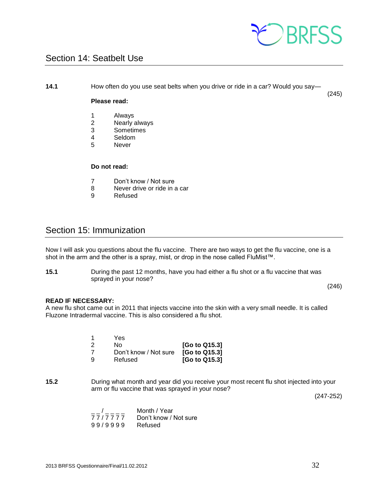

## Section 14: Seatbelt Use

**14.1** How often do you use seat belts when you drive or ride in a car? Would you say—

#### **Please read:**

- 1 Always<br>2 Nearly
- 2 Nearly always<br>3 Sometimes
- **Sometimes**
- 4 Seldom<br>5 Never
- **Never**

#### **Do not read:**

- 7 Don't know / Not sure
- 8 Never drive or ride in a car
- 9 Refused

## <span id="page-31-0"></span>Section 15: Immunization

Now I will ask you questions about the flu vaccine. There are two ways to get the flu vaccine, one is a shot in the arm and the other is a spray, mist, or drop in the nose called FluMist™.

**15.1** During the past 12 months, have you had either a flu shot or a flu vaccine that was sprayed in your nose?

(246)

(245)

#### **READ IF NECESSARY:**

A new flu shot came out in 2011 that injects vaccine into the skin with a very small needle. It is called Fluzone Intradermal vaccine. This is also considered a flu shot.

|    | Yes                   |               |
|----|-----------------------|---------------|
| 2  | No.                   | [Go to Q15.3] |
| -7 | Don't know / Not sure | [Go to Q15.3] |
| -9 | Refused               | [Go to Q15.3] |

**15.2** During what month and year did you receive your most recent flu shot injected into your arm or flu vaccine that was sprayed in your nose?

(247-252)

| $\overline{\phantom{a}}$ | Month / Year          |
|--------------------------|-----------------------|
| 77/7777                  | Don't know / Not sure |
| 99/9999                  | Refused               |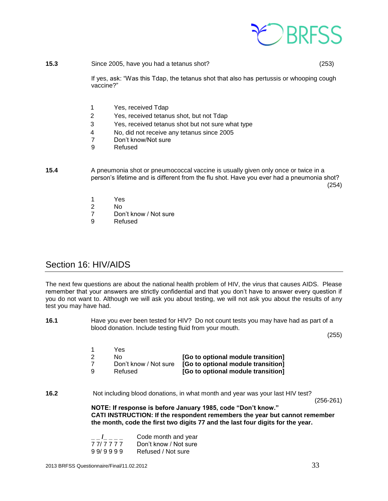

**15.3** Since 2005, have you had a tetanus shot? (253)

If yes, ask: "Was this Tdap, the tetanus shot that also has pertussis or whooping cough vaccine?"

- 1 Yes, received Tdap
- 2 Yes, received tetanus shot, but not Tdap
- 3 Yes, received tetanus shot but not sure what type
- 4 No, did not receive any tetanus since 2005<br>7 Don't know/Not sure
- Don't know/Not sure
- 9 Refused

**15.4** A pneumonia shot or pneumococcal vaccine is usually given only once or twice in a person's lifetime and is different from the flu shot. Have you ever had a pneumonia shot? (254)

- 1 Yes
- $N<sub>0</sub>$
- 7 Don't know / Not sure
- 9 Refused

## <span id="page-32-0"></span>Section 16: HIV/AIDS

The next few questions are about the national health problem of HIV, the virus that causes AIDS. Please remember that your answers are strictly confidential and that you don't have to answer every question if you do not want to. Although we will ask you about testing, we will not ask you about the results of any test you may have had.

**16.1** Have you ever been tested for HIV? Do not count tests you may have had as part of a blood donation. Include testing fluid from your mouth.

(255)

|   | Yes.                  |                                    |
|---|-----------------------|------------------------------------|
|   | No.                   | [Go to optional module transition] |
|   | Don't know / Not sure | [Go to optional module transition] |
| g | Refused               | [Go to optional module transition] |

**16.2** Not including blood donations, in what month and year was your last HIV test?

(256-261)

**NOTE: If response is before January 1985, code "Don't know." CATI INSTRUCTION: If the respondent remembers the year but cannot remember the month, code the first two digits 77 and the last four digits for the year.** 

| $-1$    | Code month and year   |
|---------|-----------------------|
| 77/7777 | Don't know / Not sure |
| 99/9999 | Refused / Not sure    |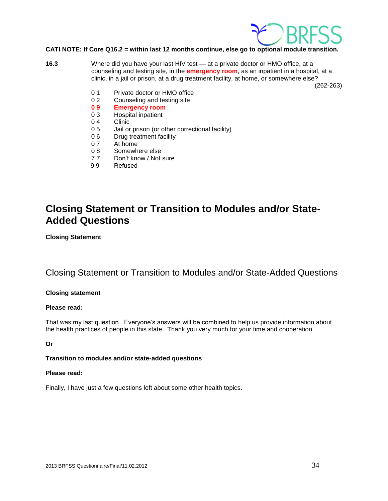

#### **CATI NOTE: If Core Q16.2 = within last 12 months continue, else go to optional module transition.**

**16.3** Where did you have your last HIV test — at a private doctor or HMO office, at a counseling and testing site, in the **emergency room**, as an inpatient in a hospital, at a clinic, in a jail or prison, at a drug treatment facility, at home, or somewhere else?

(262-263)

- 0 1 Private doctor or HMO office
- 0 2 Counseling and testing site
- **0 9 Emergency room**
- Hospital inpatient
- 0 4 Clinic
- 0 5 Jail or prison (or other correctional facility)
- 0 6 Drug treatment facility
- 0 7 At home
- 0.8 Somewhere else
- 7 7 Don't know / Not sure
- 9 9 Refused

## **Closing Statement or Transition to Modules and/or State-Added Questions**

**Closing Statement**

## Closing Statement or Transition to Modules and/or State-Added Questions

#### **Closing statement**

#### **Please read:**

That was my last question. Everyone's answers will be combined to help us provide information about the health practices of people in this state. Thank you very much for your time and cooperation.

#### **Or**

#### **Transition to modules and/or state-added questions**

#### **Please read:**

Finally, I have just a few questions left about some other health topics.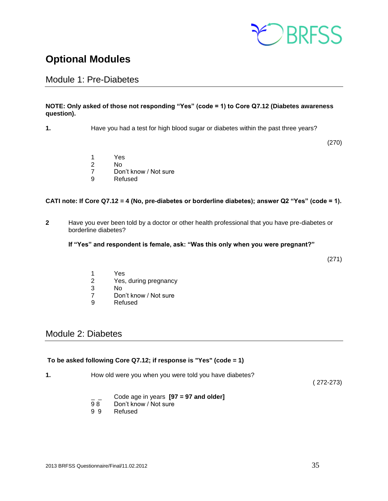

## <span id="page-34-0"></span>**Optional Modules**

## <span id="page-34-1"></span>Module 1: Pre-Diabetes

#### **NOTE: Only asked of those not responding "Yes" (code = 1) to Core Q7.12 (Diabetes awareness question).**

**1.** Have you had a test for high blood sugar or diabetes within the past three years?

(270)

- 1 Yes
- 2 No
- 7 Don't know / Not sure
- 9 Refused

#### **CATI note: If Core Q7.12 = 4 (No, pre-diabetes or borderline diabetes); answer Q2 "Yes" (code = 1).**

**2** Have you ever been told by a doctor or other health professional that you have pre-diabetes or borderline diabetes?

#### **If "Yes" and respondent is female, ask: "Was this only when you were pregnant?"**

(271)

- 1 Yes
- 2 Yes, during pregnancy
- 3 No
- 7 Don't know / Not sure
- 9 Refused

## <span id="page-34-2"></span>Module 2: Diabetes

#### **To be asked following Core Q7.12; if response is "Yes" (code = 1)**

**1.** How old were you when you were told you have diabetes?

( 272-273)

- \_ \_ Code age in years **[97 = 97 and older]**
- Don't know / Not sure
- 9 9 Refused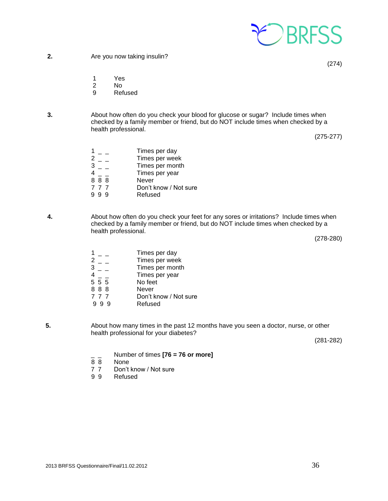

(274)

- 1 Yes
- 2 No
- 9 Refused
- **3.** About how often do you check your blood for glucose or sugar? Include times when checked by a family member or friend, but do NOT include times when checked by a health professional.

(275-277)

|     | Times per day         |
|-----|-----------------------|
| 2   | Times per week        |
| 3   | Times per month       |
|     | Times per year        |
| 888 | Never                 |
| 777 | Don't know / Not sure |
| 99  | Refused               |

**4.** About how often do you check your feet for any sores or irritations? Include times when checked by a family member or friend, but do NOT include times when checked by a health professional.

(278-280)

- $\begin{array}{ccc} 1 & = & \text{ 1} & \text{ 2} & \text{ 2} & \text{ 3} \\ 2 & = & \text{ 1} & \text{ 4} & \text{ 5} \\ \end{array}$  $2 -$  Times per week<br> $3 -$  Times per month Times per month Times per year<br>No feet  $\frac{4}{5}$   $\frac{-}{5}$   $\frac{-}{5}$ 8 8 8 Never 7 7 7 Don't know / Not sure<br>9 9 9 Refused **Refused**
- **5.** About how many times in the past 12 months have you seen a doctor, nurse, or other health professional for your diabetes?

(281-282)

- \_ \_ Number of times **[76 = 76 or more]**
- **None**
- 7 7 Don't know / Not sure<br>9 9 Refused
- **Refused**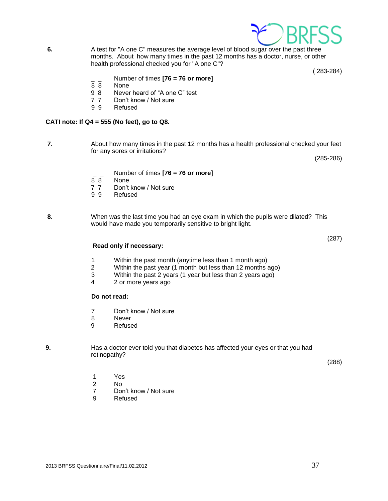

- **9.** Has a doctor ever told you that diabetes has affected your eyes or that you had retinopathy?
	-

8 Never 9 Refused

- 1 Yes
- 2 No
- 7 Don't know / Not sure
- 9 Refused
- 
- 
- **Do not read:**

3 Within the past 2 years (1 year but less than 2 years ago)

1 Within the past month (anytime less than 1 month ago) 2 Within the past year (1 month but less than 12 months ago)

4 2 or more years ago

7 Don't know / Not sure

- **Read only if necessary:**
- 
- **8.** When was the last time you had an eye exam in which the pupils were dilated? This

**7.** About how many times in the past 12 months has a health professional checked your feet

months. About how many times in the past 12 months has a doctor, nurse, or other

- **Refused**
- 
- - 7 7 Don't know / Not sure<br>9 9 Refused

would have made you temporarily sensitive to bright light.

- 8 8 None
- \_ \_ Number of times **[76 = 76 or more]**
- 

9 9 Refused

**CATI note: If Q4 = 555 (No feet), go to Q8.**

None

- for any sores or irritations?
	-

health professional checked you for "A one C"?

 $\frac{1}{8}$  Number of times **[76 = 76 or more]** 

9 8 Never heard of "A one C" test

7 7 Don't know / Not sure

**6.** A test for "A one C" measures the average level of blood sugar over the past three

( 283-284)

(285-286)

(287)

(288)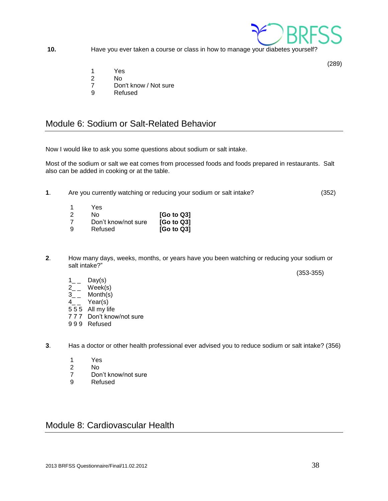

**10.** Have you ever taken a course or class in how to manage your diabetes yourself?

- 1 Yes
- 2 No
- 7 Don't know / Not sure
- 9 Refused

## <span id="page-37-0"></span>Module 6: Sodium or Salt-Related Behavior

Now I would like to ask you some questions about sodium or salt intake.

Most of the sodium or salt we eat comes from processed foods and foods prepared in restaurants. Salt also can be added in cooking or at the table.

**1**. Are you currently watching or reducing your sodium or salt intake? (352)

|   | Yes                 |                        |
|---|---------------------|------------------------|
|   | N٥                  | [G <sub>o</sub> to Q3] |
|   | Don't know/not sure | [G <sub>o</sub> to Q3] |
| g | Refused             | [G <sub>o</sub> to Q3] |

- **2**. How many days, weeks, months, or years have you been watching or reducing your sodium or salt intake?"
	- $1_{--}$  Day(s)
	- $2_{-}$  Week(s)
	- $3_{-}$  Month(s)
	- $4_{-}$  Year(s)
	- 5 5 5 All my life
	- 7 7 7 Don't know/not sure
	- 9 9 9 Refused
- **3**. Has a doctor or other health professional ever advised you to reduce sodium or salt intake? (356)
	- 1 Yes
	- 2 No
	- 7 Don't know/not sure

<span id="page-37-2"></span><span id="page-37-1"></span>Module 8: Cardiovascular Health

9 Refused



(289)

(353-355)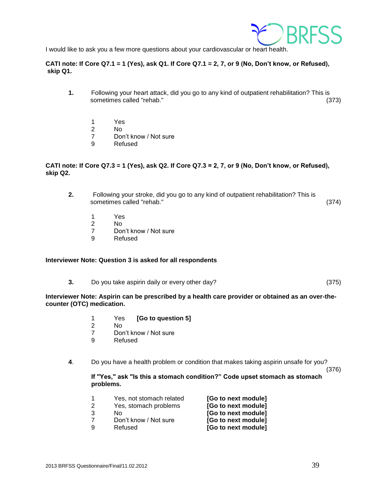

I would like to ask you a few more questions about your cardiovascular or heart health.

#### **CATI note: If Core Q7.1 = 1 (Yes), ask Q1. If Core Q7.1 = 2, 7, or 9 (No, Don't know, or Refused), skip Q1.**

- **1.** Following your heart attack, did you go to any kind of outpatient rehabilitation? This is sometimes called "rehab." (373)
	- 1 Yes
	- 2 No
	- 7 Don't know / Not sure
	- 9 Refused

#### **CATI note: If Core Q7.3 = 1 (Yes), ask Q2. If Core Q7.3 = 2, 7, or 9 (No, Don't know, or Refused), skip Q2.**

- **2.** Following your stroke, did you go to any kind of outpatient rehabilitation? This is sometimes called "rehab." (374)
	- 1 Yes
	- 2 No
	- 7 Don't know / Not sure
	- 9 Refused

#### **Interviewer Note: Question 3 is asked for all respondents**

**3.** Do you take aspirin daily or every other day? (375)

#### **Interviewer Note: Aspirin can be prescribed by a health care provider or obtained as an over-thecounter (OTC) medication.**

- 1 Yes **[Go to question 5]**
- 2 No
- 7 Don't know / Not sure
- 9 Refused
- **4**. Do you have a health problem or condition that makes taking aspirin unsafe for you?

(376)

**If "Yes," ask "Is this a stomach condition?" Code upset stomach as stomach problems.**

|    | Yes, not stomach related | [Go to next module] |
|----|--------------------------|---------------------|
| -2 | Yes, stomach problems    | [Go to next module] |
| -3 | Nο                       | [Go to next module] |
|    | Don't know / Not sure    | [Go to next module] |

9 Refused **[Go to next module]**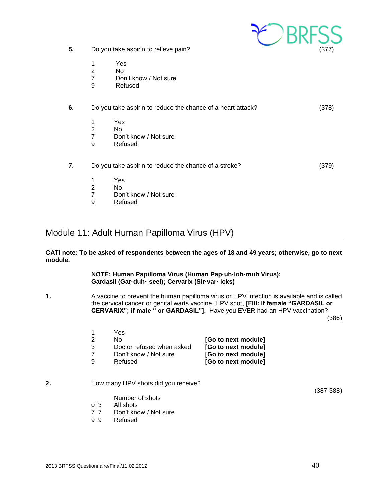

- **5.** Do you take aspirin to relieve pain? (377)
	- 1 Yes
	- 2 No
	- 7 Don't know / Not sure
	- 9 Refused

| 6. | Do you take aspirin to reduce the chance of a heart attack? |                                                       |       |
|----|-------------------------------------------------------------|-------------------------------------------------------|-------|
|    | 1<br>$\overline{2}$<br>7<br>9                               | Yes<br>No.<br>Don't know / Not sure<br>Refused        |       |
| 7. |                                                             | Do you take aspirin to reduce the chance of a stroke? | (379) |
|    | 1<br>$\overline{2}$<br>7<br>9                               | <b>Yes</b><br>No.<br>Don't know / Not sure<br>Refused |       |

## <span id="page-39-0"></span>Module 11: Adult Human Papilloma Virus (HPV)

**CATI note: To be asked of respondents between the ages of 18 and 49 years; otherwise, go to next module.**

> **NOTE: Human Papilloma Virus (Human Pap·uh·loh·muh Virus); Gardasil (Gar·duh· seel); Cervarix (Sir·var· icks)**

**1.** A vaccine to prevent the human papilloma virus or HPV infection is available and is called the cervical cancer or genital warts vaccine, HPV shot, **[Fill: if female "GARDASIL or CERVARIX"; if male " or GARDASIL"].** Have you EVER had an HPV vaccination?

(386)

|   | Yes                       |                     |
|---|---------------------------|---------------------|
| 2 | No.                       | [Go to next module] |
| 3 | Doctor refused when asked | [Go to next module] |
|   | Don't know / Not sure     | [Go to next module] |
| 9 | Refused                   | [Go to next module] |

#### **2.** How many HPV shots did you receive?

(387-388)

- Number of shots
- 0 3 All shots
- 7 7 Don't know / Not sure
- 9 9 Refused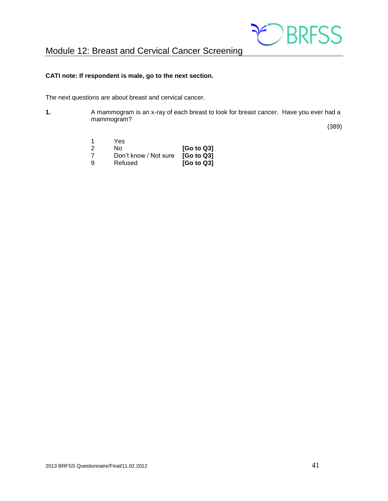

#### <span id="page-40-0"></span>**CATI note: If respondent is male, go to the next section.**

The next questions are about breast and cervical cancer.

**1.** A mammogram is an x-ray of each breast to look for breast cancer. Have you ever had a mammogram?

(389)

|    | Yes                   |                        |
|----|-----------------------|------------------------|
| -2 | Nο                    | [G <sub>o</sub> to Q3] |
|    | Don't know / Not sure | [G <sub>o</sub> to Q3] |
| -9 | Refused               | [G <sub>o</sub> to Q3] |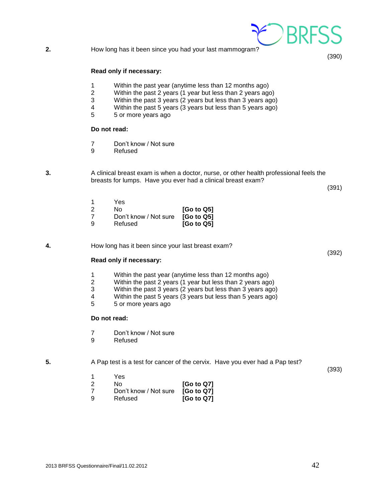#### **Read only if necessary:**

- 1 Within the past year (anytime less than 12 months ago)
- 2 Within the past 2 years (1 year but less than 2 years ago)
- 3 Within the past 3 years (2 years but less than 3 years ago)
- 4 Within the past 5 years (3 years but less than 5 years ago)<br>5 5 or more vears ago
- 5 5 or more years ago

#### **Do not read:**

- 7 Don't know / Not sure
- 9 Refused

**3.** A clinical breast exam is when a doctor, nurse, or other health professional feels the breasts for lumps. Have you ever had a clinical breast exam?

(391)

(392)

(390)

|   | Yes                   |                                     |
|---|-----------------------|-------------------------------------|
| 2 | N٥                    | [G <sub>o</sub> to Q5]              |
| 7 | Don't know / Not sure | [G <sub>o</sub> to Q5]              |
| g | Refused               | [G <sub>o</sub> to Q <sub>5</sub> ] |

**4.** How long has it been since your last breast exam?

#### **Read only if necessary:**

- 1 Within the past year (anytime less than 12 months ago)<br>2 Within the past 2 years (1 year but less than 2 years ago
- 2 Within the past 2 years (1 year but less than 2 years ago)
- 3 Within the past 3 years (2 years but less than 3 years ago)
- 4 Within the past 5 years (3 years but less than 5 years ago)
- 5 5 or more years ago

#### **Do not read:**

- 7 Don't know / Not sure
- 9 Refused

**5.** A Pap test is a test for cancer of the cervix. Have you ever had a Pap test?

(393)

- 1 Yes 2 No **[Go to Q7]**
- 7 Don't know / Not sure **[Go to Q7]** 9 Refused **[Go to Q7]**

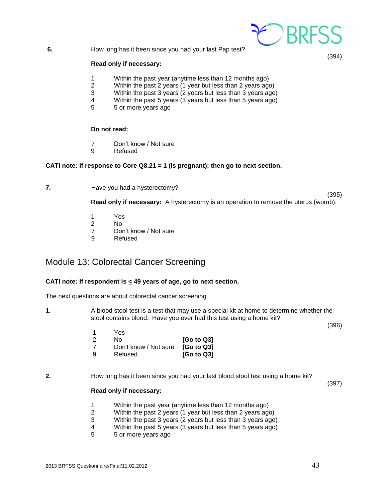

**6.** How long has it been since you had your last Pap test?

#### **Read only if necessary:**

- 1 Within the past year (anytime less than 12 months ago)
- 2 Within the past 2 years (1 year but less than 2 years ago)
- 3 Within the past 3 years (2 years but less than 3 years ago)
- 4 Within the past 5 years (3 years but less than 5 years ago)
- 5 5 or more years ago

#### **Do not read:**

- 7 Don't know / Not sure
- 9 Refused

#### **CATI note: If response to Core Q8.21 = 1 (is pregnant); then go to next section.**

**7.** Have you had a hysterectomy?

(395)

**Read only if necessary:** A hysterectomy is an operation to remove the uterus (womb).

- 1 Yes
- 2 No
- 7 Don't know / Not sure
- 9 Refused

## <span id="page-42-0"></span>Module 13: Colorectal Cancer Screening

#### **CATI note: If respondent is < 49 years of age, go to next section.**

The next questions are about colorectal cancer screening.

**1.** A blood stool test is a test that may use a special kit at home to determine whether the stool contains blood. Have you ever had this test using a home kit?

(396)

| 1  | Yes.                  |                        |
|----|-----------------------|------------------------|
| -2 | Nο                    | [G <sub>o</sub> to Q3] |
| -7 | Don't know / Not sure | [G <sub>o</sub> to Q3] |
| 9  | Refused               | [G <sub>o</sub> to Q3] |

#### **2.** How long has it been since you had your last blood stool test using a home kit?

(397)

#### **Read only if necessary:**

- 1 Within the past year (anytime less than 12 months ago)
- 2 Within the past 2 years (1 year but less than 2 years ago)
- 3 Within the past 3 years (2 years but less than 3 years ago)
- 4 Within the past 5 years (3 years but less than 5 years ago)
- 5 5 or more years ago

(394)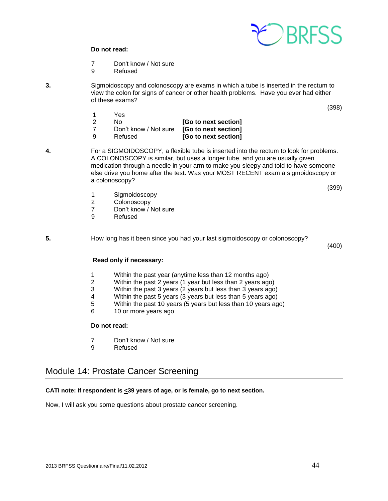

#### **Do not read:**

- 7 Don't know / Not sure
- 9 Refused
- **3.** Sigmoidoscopy and colonoscopy are exams in which a tube is inserted in the rectum to view the colon for signs of cancer or other health problems. Have you ever had either of these exams?
	- 1 Yes 2 No **[Go to next section]** 7 Don't know / Not sure **[Go to next section]** 9 Refused **[Go to next section]**
- **4.** For a SIGMOIDOSCOPY, a flexible tube is inserted into the rectum to look for problems. A COLONOSCOPY is similar, but uses a longer tube, and you are usually given medication through a needle in your arm to make you sleepy and told to have someone else drive you home after the test. Was your MOST RECENT exam a sigmoidoscopy or a colonoscopy?

(399)

(398)

- 1 Sigmoidoscopy<br>2 Colonoscopy
- **Colonoscopy**
- 7 Don't know / Not sure
- 9 Refused

**5.** How long has it been since you had your last sigmoidoscopy or colonoscopy?

(400)

#### **Read only if necessary:**

- 1 Within the past year (anytime less than 12 months ago)
- 2 Within the past 2 years (1 year but less than 2 years ago)
- 3 Within the past 3 years (2 years but less than 3 years ago)
- 4 Within the past 5 years (3 years but less than 5 years ago)
- 5 Within the past 10 years (5 years but less than 10 years ago)
- 6 10 or more years ago

#### **Do not read:**

- 7 Don't know / Not sure
- 9 Refused

## <span id="page-43-0"></span>Module 14: Prostate Cancer Screening

#### **CATI note: If respondent is <39 years of age, or is female, go to next section.**

Now, I will ask you some questions about prostate cancer screening.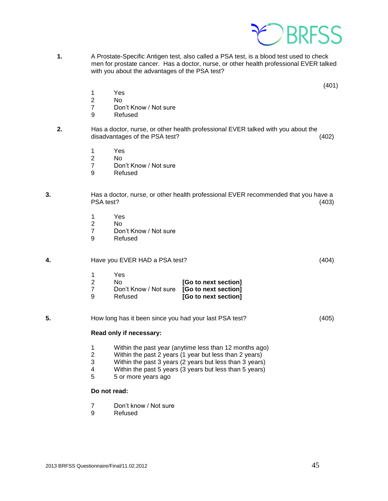

**1.** A Prostate-Specific Antigen test, also called a PSA test, is a blood test used to check men for prostate cancer. Has a doctor, nurse, or other health professional EVER talked with you about the advantages of the PSA test?

(401)

- 1 Yes
- 2 No
- 7 Don't Know / Not sure<br>9 Refused
- **Refused**
- **2.** Has a doctor, nurse, or other health professional EVER talked with you about the disadvantages of the PSA test? (402)
	- 1 Yes<br>2 No
	- $No$
	- 7 Don't Know / Not sure
	- 9 Refused
- **3.** Has a doctor, nurse, or other health professional EVER recommended that you have a PSA test? (403)
	- 1 Yes
	- 2 No
	- 7 Don't Know / Not sure<br>9 Refused
	- **Refused**
- **4.** Have you EVER HAD a PSA test? (404)

| -1  | Yes                                        |                      |
|-----|--------------------------------------------|----------------------|
| - 2 | No.                                        | [Go to next section] |
| - 7 | Don't Know / Not sure [Go to next section] |                      |
| 9   | Refused                                    | [Go to next section] |

**5.** How long has it been since you had your last PSA test? (405)

#### **Read only if necessary:**

- 1 Within the past year (anytime less than 12 months ago)<br>2 Within the past 2 years (1 year but less than 2 years)
- Within the past 2 years (1 year but less than 2 years)
- 3 Within the past 3 years (2 years but less than 3 years)
- 4 Within the past 5 years (3 years but less than 5 years)<br>5 5 or more years ago
- 5 5 or more years ago

#### **Do not read:**

- 7 Don't know / Not sure
- 9 Refused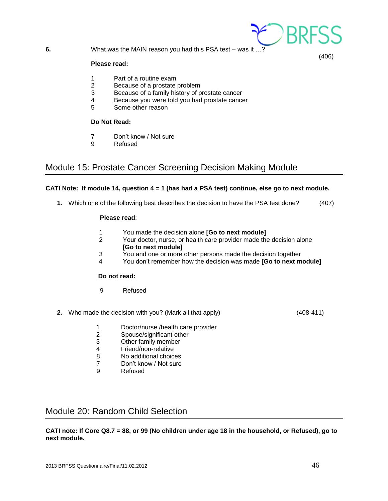

**6.** What was the MAIN reason you had this PSA test – was it …?

#### **Please read:**

- 1 Part of a routine exam
- 2 Because of a prostate problem
- 3 Because of a family history of prostate cancer
- 4 Because you were told you had prostate cancer
- 5 Some other reason

#### **Do Not Read:**

- 7 Don't know / Not sure
- 9 Refused

## <span id="page-45-0"></span>Module 15: Prostate Cancer Screening Decision Making Module

#### **CATI Note: If module 14, question 4 = 1 (has had a PSA test) continue, else go to next module.**

**1.** Which one of the following best describes the decision to have the PSA test done? (407)

#### **Please read**:

- 1 You made the decision alone **[Go to next module]**
- 2 Your doctor, nurse, or health care provider made the decision alone **[Go to next module]**
- 3 You and one or more other persons made the decision together
- 4 You don't remember how the decision was made **[Go to next module]**

#### **Do not read:**

- 9 Refused
- **2.** Who made the decision with you? (Mark all that apply) (408-411)
	- 1 Doctor/nurse /health care provider
	- 2 Spouse/significant other
	- 3 Other family member
	- 4 Friend/non-relative
	- 8 No additional choices
	- 7 Don't know / Not sure
	- 9 Refused

## <span id="page-45-1"></span>Module 20: Random Child Selection

**CATI note: If Core Q8.7 = 88, or 99 (No children under age 18 in the household, or Refused), go to next module.**

(406)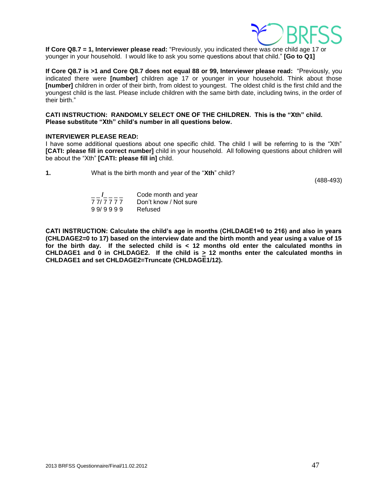

**If Core Q8.7 = 1, Interviewer please read:** "Previously, you indicated there was one child age 17 or younger in your household. I would like to ask you some questions about that child." **[Go to Q1]**

**If Core Q8.7 is >1 and Core Q8.7 does not equal 88 or 99, Interviewer please read:** "Previously, you indicated there were **[number]** children age 17 or younger in your household. Think about those **[number]** children in order of their birth, from oldest to youngest. The oldest child is the first child and the youngest child is the last. Please include children with the same birth date, including twins, in the order of their birth."

#### **CATI INSTRUCTION: RANDOMLY SELECT ONE OF THE CHILDREN. This is the "Xth" child. Please substitute "Xth" child's number in all questions below.**

#### **INTERVIEWER PLEASE READ:**

I have some additional questions about one specific child. The child I will be referring to is the "Xth" **[CATI: please fill in correct number]** child in your household. All following questions about children will be about the "Xth" **[CATI: please fill in]** child.

**1.** What is the birth month and year of the "**Xth**" child?

(488-493)

| $\mathbf{I}$ and $\mathbf{I}$ | Code month and year   |
|-------------------------------|-----------------------|
| 77/7777                       | Don't know / Not sure |
| 99/9999                       | Refused               |

**CATI INSTRUCTION: Calculate the child's age in months (CHLDAGE1=0 to 216) and also in years (CHLDAGE2=0 to 17) based on the interview date and the birth month and year using a value of 15 for the birth day. If the selected child is < 12 months old enter the calculated months in CHLDAGE1 and 0 in CHLDAGE2. If the child is > 12 months enter the calculated months in CHLDAGE1 and set CHLDAGE2=Truncate (CHLDAGE1/12).**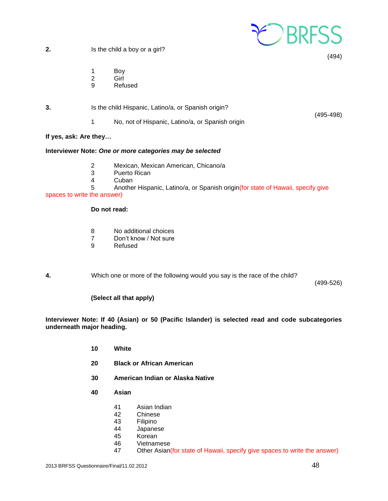

(494)

**2.** Is the child a boy or a girl?

- 1 Boy
- 2 Girl
- 9 Refused
- **3.** Is the child Hispanic, Latino/a, or Spanish origin? (495-498) 1 No, not of Hispanic, Latino/a, or Spanish origin

#### **If yes, ask: Are they…**

#### **Interviewer Note:** *One or more categories may be selected*

- 2 Mexican, Mexican American, Chicano/a
- 3 Puerto Rican
- 4 Cuban<br>5 Anothe

Another Hispanic, Latino/a, or Spanish origin(for state of Hawaii, specify give

#### spaces to write the answer)

#### **Do not read:**

- 8 No additional choices
- 7 Don't know / Not sure
- 9 Refused

**4.** Which one or more of the following would you say is the race of the child?

(499-526)

#### **(Select all that apply)**

**Interviewer Note: If 40 (Asian) or 50 (Pacific Islander) is selected read and code subcategories underneath major heading.**

- **10 White**
- **20 Black or African American**
- **30 American Indian or Alaska Native**
- **40 Asian**
	- 41 Asian Indian
	- 42 Chinese<br>43 Filipino
	- **Filipino**
	- 44 Japanese
	- 45 Korean
	- 46 Vietnamese
	- 47 Other Asian(for state of Hawaii, specify give spaces to write the answer)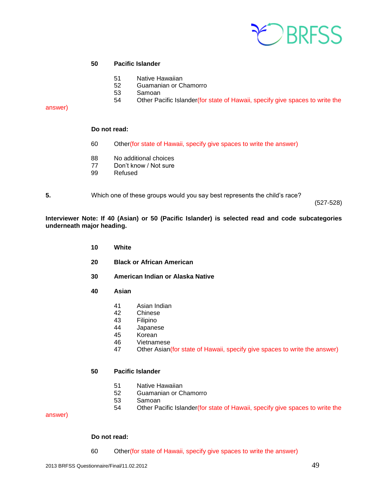

#### **Pacific Islander**

- Native Hawaiian
- Guamanian or Chamorro
- Samoan
- 54 Other Pacific Islander(for state of Hawaii, specify give spaces to write the

#### answer)

#### **Do not read:**

- Other(for state of Hawaii, specify give spaces to write the answer)
- No additional choices
- Don't know / Not sure
- Refused

**5.** Which one of these groups would you say best represents the child's race?

(527-528)

**Interviewer Note: If 40 (Asian) or 50 (Pacific Islander) is selected read and code subcategories underneath major heading.**

- **White**
- **Black or African American**
- **American Indian or Alaska Native**
- **Asian**
	- Asian Indian
	- Chinese
	- Filipino
	- Japanese
	- Korean
	- Vietnamese
	- Other Asian(for state of Hawaii, specify give spaces to write the answer)

#### **Pacific Islander**

- Native Hawaiian
- 52 Guamanian or Chamorro<br>53 Samoan
- **Samoan**
- Other Pacific Islander(for state of Hawaii, specify give spaces to write the

#### answer)

#### **Do not read:**

Other(for state of Hawaii, specify give spaces to write the answer)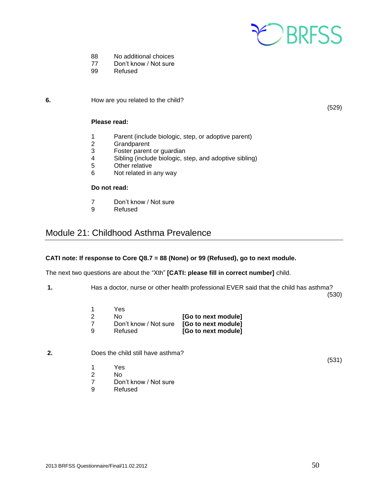

- 88 No additional choices
- 77 Don't know / Not sure
- 99 Refused

**6.** How are you related to the child?

(529)

#### **Please read:**

- 1 Parent (include biologic, step, or adoptive parent)
- 2 Grandparent
- 3 Foster parent or guardian<br>4 Sibling (include biologic s
- Sibling (include biologic, step, and adoptive sibling)
- 5 Other relative
- 6 Not related in any way

#### **Do not read:**

- 7 Don't know / Not sure
- 9 Refused

## <span id="page-49-0"></span>Module 21: Childhood Asthma Prevalence

#### **CATI note: If response to Core Q8.7 = 88 (None) or 99 (Refused), go to next module.**

The next two questions are about the "Xth" **[CATI: please fill in correct number]** child.

**1.** Has a doctor, nurse or other health professional EVER said that the child has asthma?

(530)

(531)

- 1 Yes 2 No **[Go to next module]** 7 Don't know / Not sure **[Go to next module]** 9 Refused **[Go to next module]**
- **2.** Does the child still have asthma?
	- 1 Yes
	- 2 No
	- 7 Don't know / Not sure
	- 9 Refused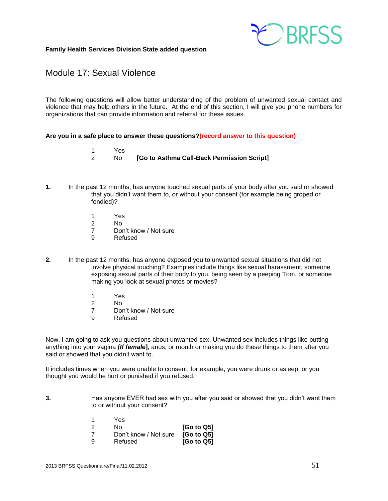

## Module 17: Sexual Violence

The following questions will allow better understanding of the problem of unwanted sexual contact and violence that may help others in the future. At the end of this section, I will give you phone numbers for organizations that can provide information and referral for these issues.

#### **Are you in a safe place to answer these questions?(record answer to this question)**

- 1 Yes
- 2 No **[Go to Asthma Call-Back Permission Script]**
- **1.** In the past 12 months, has anyone touched sexual parts of your body after you said or showed that you didn't want them to, or without your consent (for example being groped or fondled)?
	- 1 Yes
	- $N<sub>0</sub>$
	- 7 Don't know / Not sure
	- 9 Refused
- **2.** In the past 12 months, has anyone exposed you to unwanted sexual situations that did not involve physical touching? Examples include things like sexual harassment, someone exposing sexual parts of their body to you, being seen by a peeping Tom, or someone making you look at sexual photos or movies?
	- 1 Yes<br>2 No
	- 2 No<br>7 Dor
	- Don't know / Not sure
	- 9 Refused

Now, I am going to ask you questions about unwanted sex. Unwanted sex includes things like putting anything into your vagina *[If female***]**, anus, or mouth or making you do these things to them after you said or showed that you didn't want to.

It includes times when you were unable to consent, for example, you were drunk or asleep, or you thought you would be hurt or punished if you refused.

**3.** Has anyone EVER had sex with you after you said or showed that you didn't want them to or without your consent?

| 1              | Yes                   |                        |
|----------------|-----------------------|------------------------|
| $\overline{2}$ | Nο                    | [G <sub>o</sub> to Q5] |
| -7             | Don't know / Not sure | [G <sub>o</sub> to Q5] |
| 9              | Refused               | [Go to Q5]             |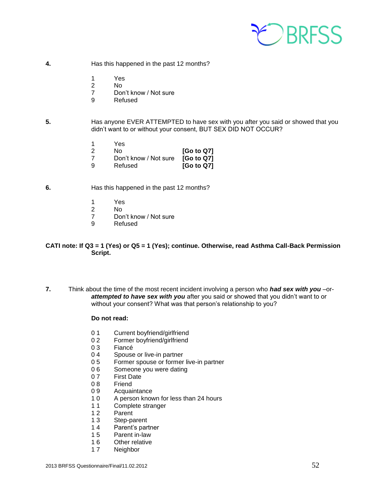

- **4.** Has this happened in the past 12 months?
	- 1 Yes
	- 2 No
	- 7 Don't know / Not sure
	- 9 Refused
- **5.** Has anyone EVER ATTEMPTED to have sex with you after you said or showed that you didn't want to or without your consent, BUT SEX DID NOT OCCUR?
	- 1 Yes
	- 2 No **[Go to Q7]** 7 Don't know / Not sure **[Go to Q7]**
	- 9 Refused **[Go to Q7]**
- **6.** Has this happened in the past 12 months?
	- 1 Yes
	- 2 No<br>7 Dor
	- Don't know / Not sure
	- 9 Refused

#### **CATI note: If Q3 = 1 (Yes) or Q5 = 1 (Yes); continue. Otherwise, read Asthma Call-Back Permission Script.**

**7.** Think about the time of the most recent incident involving a person who *had sex with you* –or*attempted to have sex with you* after you said or showed that you didn't want to or without your consent? What was that person's relationship to you?

#### **Do not read:**

- 0 1 Current boyfriend/girlfriend
- 0 2 Former boyfriend/girlfriend
- 0 3 Fiancé<br>0 4 Spouse
- Spouse or live-in partner
- 0 5 Former spouse or former live-in partner
- 0 6 Someone you were dating<br>0 7 First Date
- **First Date**
- 08 Friend
- 0 9 Acquaintance
- 1 0 A person known for less than 24 hours
- 11 Complete stranger
- 1 2 Parent
- 1 3 Step-parent
- 14 Parent's partner<br>15 Parent in-law
- Parent in-law
- 1 6 Other relative
- 1 7 Neighbor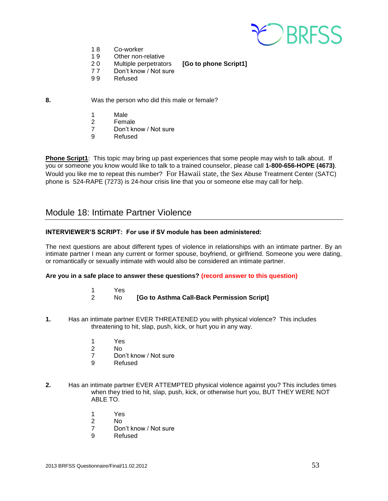

- 1 8 Co-worker
- 1 9 Other non-relative
- 2 0 Multiple perpetrators **[Go to phone Script1]** 77 Don't know / Not sure
	-
- 9 9 Refused
- 
- **8.** Was the person who did this male or female?
	- 1 Male
	- 2 Female
	- 7 Don't know / Not sure
	- 9 Refused

**Phone Script1**: This topic may bring up past experiences that some people may wish to talk about. If you or someone you know would like to talk to a trained counselor, please call **1-800-656-HOPE (4673)**. Would you like me to repeat this number? For Hawaii state, the Sex Abuse Treatment Center (SATC) phone is 524-RAPE (7273) is 24-hour crisis line that you or someone else may call for help.

## Module 18: Intimate Partner Violence

#### **INTERVIEWER'S SCRIPT: For use if SV module has been administered:**

The next questions are about different types of violence in relationships with an intimate partner. By an intimate partner I mean any current or former spouse, boyfriend, or girlfriend. Someone you were dating, or romantically or sexually intimate with would also be considered an intimate partner.

#### **Are you in a safe place to answer these questions? (record answer to this question)**

- 1 Yes
- 2 No **[Go to Asthma Call-Back Permission Script]**
- **1.** Has an intimate partner EVER THREATENED you with physical violence? This includes threatening to hit, slap, push, kick, or hurt you in any way.
	- 1 Yes<br>2 No
	- $N<sub>0</sub>$
	- 7 Don't know / Not sure
	- 9 Refused
- **2.** Has an intimate partner EVER ATTEMPTED physical violence against you? This includes times when they tried to hit, slap, push, kick, or otherwise hurt you, BUT THEY WERE NOT ABLE TO.
	- 1 Yes
	- 2 No
	- 7 Don't know / Not sure
	- 9 Refused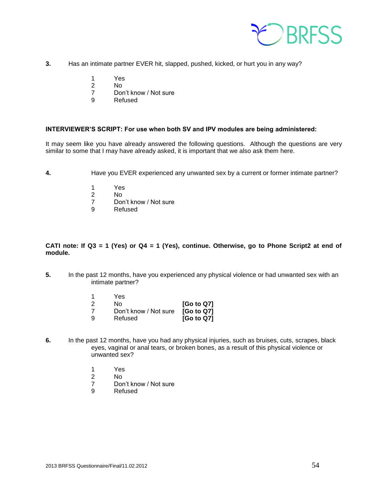

- **3.** Has an intimate partner EVER hit, slapped, pushed, kicked, or hurt you in any way?
	- 1 Yes
	- 2 No
	- 7 Don't know / Not sure
	- 9 Refused

#### **INTERVIEWER'S SCRIPT: For use when both SV and IPV modules are being administered:**

It may seem like you have already answered the following questions. Although the questions are very similar to some that I may have already asked, it is important that we also ask them here.

- **4.** Have you EVER experienced any unwanted sex by a current or former intimate partner?
	-
	- 1 Yes<br>2 No
	- 2 No<br>7 Dor Don't know / Not sure
	- 9 Refused

#### **CATI note: If Q3 = 1 (Yes) or Q4 = 1 (Yes), continue. Otherwise, go to Phone Script2 at end of module.**

**5.** In the past 12 months, have you experienced any physical violence or had unwanted sex with an intimate partner?

|               | Yes.                  |            |
|---------------|-----------------------|------------|
| $\mathcal{P}$ | N٥                    | [Go to Q7] |
|               | Don't know / Not sure | [Go to Q7] |
| -9            | Refused               | [Go to Q7] |

- **6.** In the past 12 months, have you had any physical injuries, such as bruises, cuts, scrapes, black eyes, vaginal or anal tears, or broken bones, as a result of this physical violence or unwanted sex?
	- 1 Yes
	- 2 No
	- 7 Don't know / Not sure
	- 9 Refused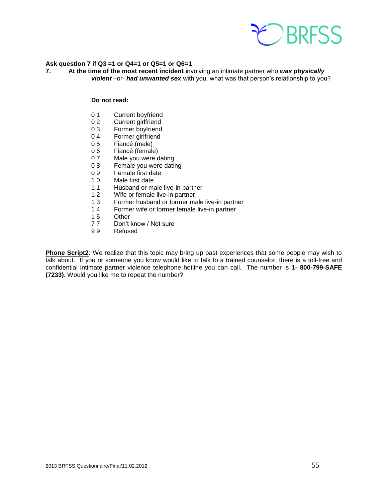

#### **Ask question 7 if Q3 =1 or Q4=1 or Q5=1 or Q6=1**

**7. At the time of the most recent incident** involving an intimate partner who *was physically violent* –or- *had unwanted sex* with you, what was that person's relationship to you?

#### **Do not read:**

- 0 1 Current boyfriend
- 0 2 Current girlfriend<br>0 3 Former bovfriend
- Former boyfriend
- 04 Former girlfriend
- 0 5 Fiancé (male)
- 0 6 Fiancé (female)
- 0 7 Male you were dating
- 0 8 Female you were dating
- 0 9 Female first date
- 10 Male first date<br>11 Husband or ma
- 11 Husband or male live-in partner<br>12 Wife or female live-in partner
- Wife or female live-in partner
- 1 3 Former husband or former male live-in partner
- 14 Former wife or former female live-in partner<br>15 Other
- Other
- 7 7 Don't know / Not sure
- 9 9 Refused

**Phone Script2**: We realize that this topic may bring up past experiences that some people may wish to talk about. If you or someone you know would like to talk to a trained counselor, there is a toll-free and confidential intimate partner violence telephone hotline you can call. The number is **1- 800-799-SAFE (7233)**. Would you like me to repeat the number?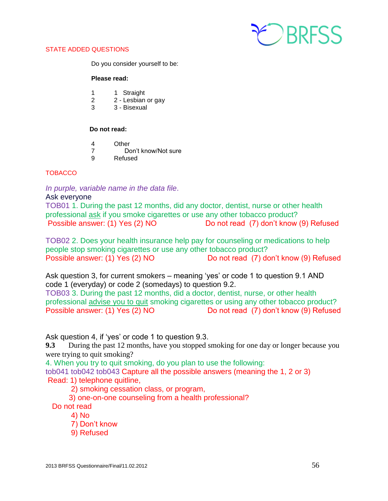

#### STATE ADDED QUESTIONS

Do you consider yourself to be:

#### **Please read:**

- 1 1 Straight
- 2 2 Lesbian or gay
- 3 3 Bisexual

#### **Do not read:**

- 4 Other
- 7 Don't know/Not sure
- 9 Refused

#### **TOBACCO**

*In purple, variable name in the data file*.

#### Ask everyone

TOB01 1. During the past 12 months, did any doctor, dentist, nurse or other health professional ask if you smoke cigarettes or use any other tobacco product? Possible answer: (1) Yes (2) NO Do not read (7) don't know (9) Refused

TOB02 2. Does your health insurance help pay for counseling or medications to help people stop smoking cigarettes or use any other tobacco product? Possible answer: (1) Yes (2) NO Do not read (7) don't know (9) Refused

Ask question 3, for current smokers – meaning 'yes' or code 1 to question 9.1 AND code 1 (everyday) or code 2 (somedays) to question 9.2.

TOB03 3. During the past 12 months, did a doctor, dentist, nurse, or other health professional advise you to quit smoking cigarettes or using any other tobacco product? Possible answer: (1) Yes (2) NO Do not read (7) don't know (9) Refused

Ask question 4, if 'yes' or code 1 to question 9.3.

**9.3** During the past 12 months, have you stopped smoking for one day or longer because you were trying to quit smoking?

4. When you try to quit smoking, do you plan to use the following:

tob041 tob042 tob043 Capture all the possible answers (meaning the 1, 2 or 3) Read: 1) telephone quitline,

2) smoking cessation class, or program,

3) one-on-one counseling from a health professional?

Do not read

- 4) No
- 7) Don't know
- 9) Refused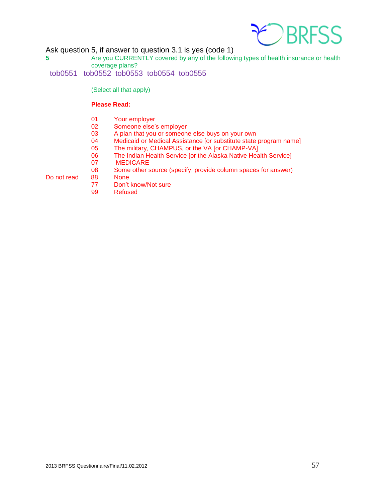

Ask question 5, if answer to question 3.1 is yes (code 1)

**5** Are you CURRENTLY covered by any of the following types of health insurance or health coverage plans?

tob0551 tob0552 tob0553 tob0554 tob0555

(Select all that apply)

#### **Please Read:**

- 01 Your employer<br>02 Someone else's
- Someone else's employer
- 03 A plan that you or someone else buys on your own
- 04 Medicaid or Medical Assistance [or substitute state program name]
- 05 The military, CHAMPUS, or the VA [or CHAMP-VA]
- 06 The Indian Health Service [or the Alaska Native Health Service]
- 07 MEDICARE
- 08 Some other source (specify, provide column spaces for answer)

Do not read 88 None

- 77 Don't know/Not sure
- 99 Refused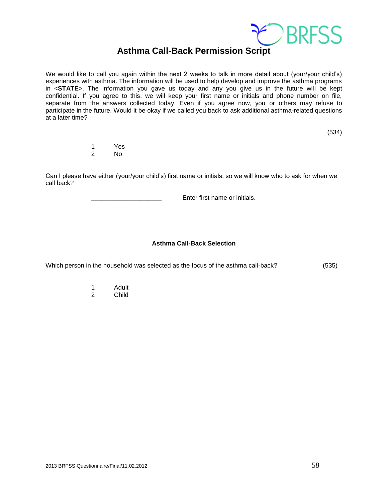

## **Asthma Call-Back Permission Script**

We would like to call you again within the next 2 weeks to talk in more detail about (your/your child's) experiences with asthma. The information will be used to help develop and improve the asthma programs in <**STATE**>. The information you gave us today and any you give us in the future will be kept confidential. If you agree to this, we will keep your first name or initials and phone number on file, separate from the answers collected today. Even if you agree now, you or others may refuse to participate in the future. Would it be okay if we called you back to ask additional asthma-related questions at a later time?

(534)

1 Yes No.

Can I please have either (your/your child's) first name or initials, so we will know who to ask for when we call back?

Enter first name or initials.

#### **Asthma Call-Back Selection**

Which person in the household was selected as the focus of the asthma call-back? (535)

- 1 Adult
- 2 Child